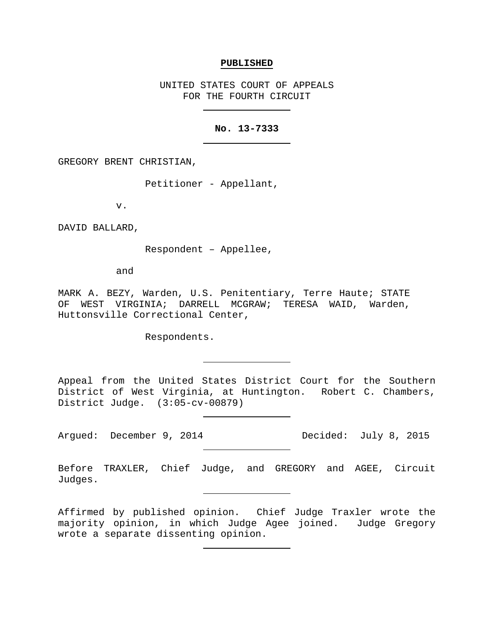#### **PUBLISHED**

UNITED STATES COURT OF APPEALS FOR THE FOURTH CIRCUIT

## **No. 13-7333**

GREGORY BRENT CHRISTIAN,

Petitioner - Appellant,

v.

DAVID BALLARD,

Respondent – Appellee,

and

MARK A. BEZY, Warden, U.S. Penitentiary, Terre Haute; STATE OF WEST VIRGINIA; DARRELL MCGRAW; TERESA WAID, Warden, Huttonsville Correctional Center,

Respondents.

Appeal from the United States District Court for the Southern District of West Virginia, at Huntington. Robert C. Chambers, District Judge. (3:05-cv-00879)

Argued: December 9, 2014 Decided: July 8, 2015

Before TRAXLER, Chief Judge, and GREGORY and AGEE, Circuit Judges.

Affirmed by published opinion. Chief Judge Traxler wrote the majority opinion, in which Judge Agee joined. Judge Gregory wrote a separate dissenting opinion.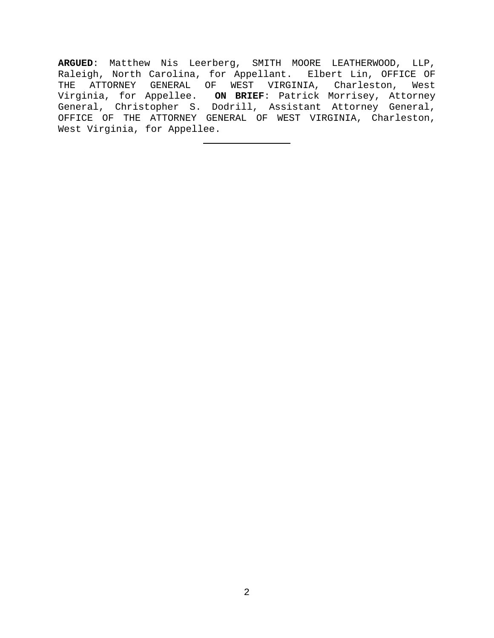**ARGUED**: Matthew Nis Leerberg, SMITH MOORE LEATHERWOOD, LLP, Raleigh, North Carolina, for Appellant. Elbert Lin, OFFICE OF THE ATTORNEY GENERAL OF WEST VIRGINIA, Charleston, West Virginia, for Appellee. **ON BRIEF**: Patrick Morrisey, Attorney General, Christopher S. Dodrill, Assistant Attorney General, OFFICE OF THE ATTORNEY GENERAL OF WEST VIRGINIA, Charleston, West Virginia, for Appellee.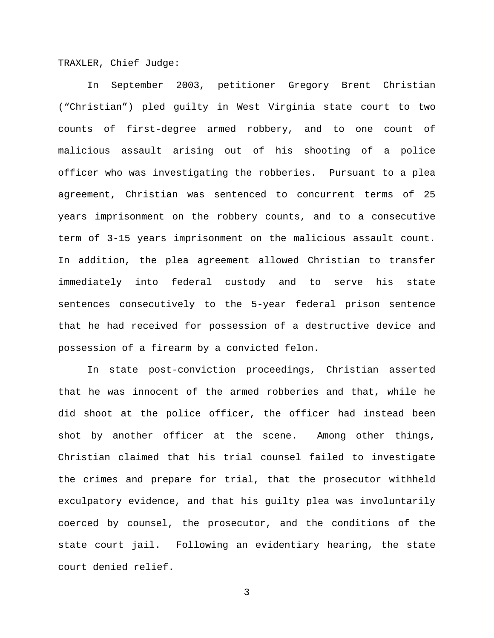TRAXLER, Chief Judge:

In September 2003, petitioner Gregory Brent Christian ("Christian") pled guilty in West Virginia state court to two counts of first-degree armed robbery, and to one count of malicious assault arising out of his shooting of a police officer who was investigating the robberies. Pursuant to a plea agreement, Christian was sentenced to concurrent terms of 25 years imprisonment on the robbery counts, and to a consecutive term of 3-15 years imprisonment on the malicious assault count. In addition, the plea agreement allowed Christian to transfer immediately into federal custody and to serve his state sentences consecutively to the 5-year federal prison sentence that he had received for possession of a destructive device and possession of a firearm by a convicted felon.

In state post-conviction proceedings, Christian asserted that he was innocent of the armed robberies and that, while he did shoot at the police officer, the officer had instead been shot by another officer at the scene. Among other things, Christian claimed that his trial counsel failed to investigate the crimes and prepare for trial, that the prosecutor withheld exculpatory evidence, and that his guilty plea was involuntarily coerced by counsel, the prosecutor, and the conditions of the state court jail. Following an evidentiary hearing, the state court denied relief.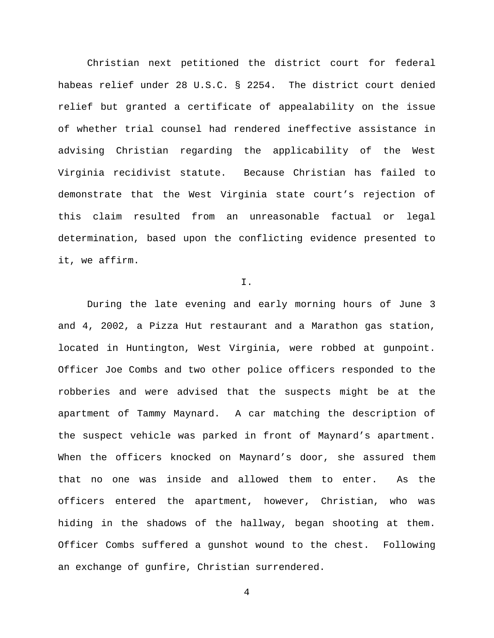Christian next petitioned the district court for federal habeas relief under 28 U.S.C. § 2254. The district court denied relief but granted a certificate of appealability on the issue of whether trial counsel had rendered ineffective assistance in advising Christian regarding the applicability of the West Virginia recidivist statute. Because Christian has failed to demonstrate that the West Virginia state court's rejection of this claim resulted from an unreasonable factual or legal determination, based upon the conflicting evidence presented to it, we affirm.

I.

During the late evening and early morning hours of June 3 and 4, 2002, a Pizza Hut restaurant and a Marathon gas station, located in Huntington, West Virginia, were robbed at gunpoint. Officer Joe Combs and two other police officers responded to the robberies and were advised that the suspects might be at the apartment of Tammy Maynard. A car matching the description of the suspect vehicle was parked in front of Maynard's apartment. When the officers knocked on Maynard's door, she assured them that no one was inside and allowed them to enter. As the officers entered the apartment, however, Christian, who was hiding in the shadows of the hallway, began shooting at them. Officer Combs suffered a gunshot wound to the chest. Following an exchange of gunfire, Christian surrendered.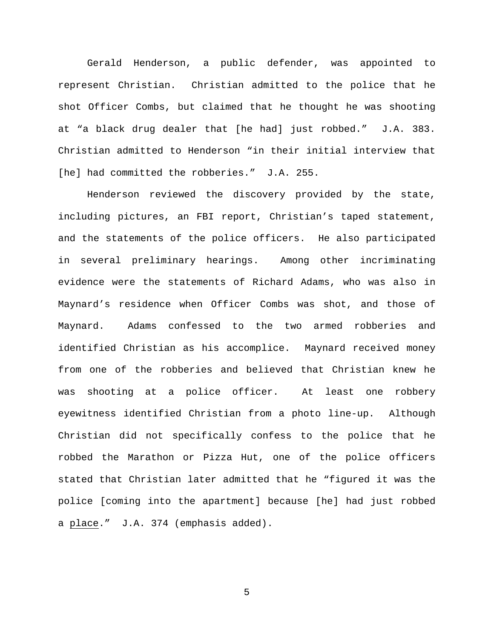Gerald Henderson, a public defender, was appointed to represent Christian. Christian admitted to the police that he shot Officer Combs, but claimed that he thought he was shooting at "a black drug dealer that [he had] just robbed." J.A. 383. Christian admitted to Henderson "in their initial interview that [he] had committed the robberies." J.A. 255.

Henderson reviewed the discovery provided by the state, including pictures, an FBI report, Christian's taped statement, and the statements of the police officers. He also participated in several preliminary hearings. Among other incriminating evidence were the statements of Richard Adams, who was also in Maynard's residence when Officer Combs was shot, and those of Maynard. Adams confessed to the two armed robberies and identified Christian as his accomplice. Maynard received money from one of the robberies and believed that Christian knew he was shooting at a police officer. At least one robbery eyewitness identified Christian from a photo line-up. Although Christian did not specifically confess to the police that he robbed the Marathon or Pizza Hut, one of the police officers stated that Christian later admitted that he "figured it was the police [coming into the apartment] because [he] had just robbed a place." J.A. 374 (emphasis added).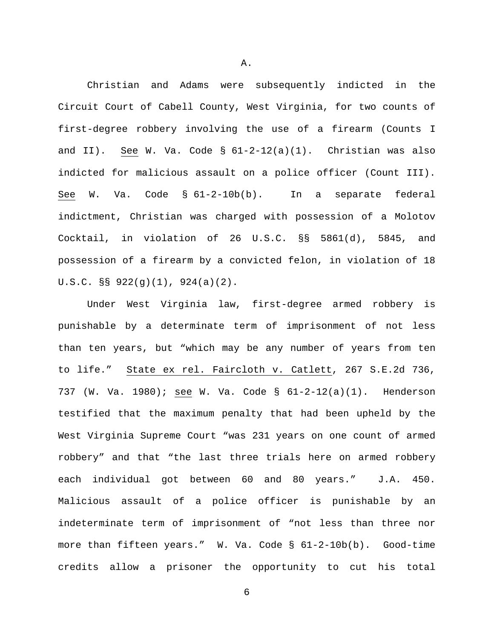Christian and Adams were subsequently indicted in the Circuit Court of Cabell County, West Virginia, for two counts of first-degree robbery involving the use of a firearm (Counts I and II). See W. Va. Code  $\S$   $61-2-12(a)(1)$ . Christian was also indicted for malicious assault on a police officer (Count III). See W. Va. Code § 61-2-10b(b). In a separate federal indictment, Christian was charged with possession of a Molotov Cocktail, in violation of 26 U.S.C. §§ 5861(d), 5845, and possession of a firearm by a convicted felon, in violation of 18 U.S.C. §§ 922(g)(1), 924(a)(2).

Under West Virginia law, first-degree armed robbery is punishable by a determinate term of imprisonment of not less than ten years, but "which may be any number of years from ten to life." State ex rel. Faircloth v. Catlett, 267 S.E.2d 736, 737 (W. Va. 1980); see W. Va. Code § 61-2-12(a)(1). Henderson testified that the maximum penalty that had been upheld by the West Virginia Supreme Court "was 231 years on one count of armed robbery" and that "the last three trials here on armed robbery each individual got between 60 and 80 years." J.A. 450. Malicious assault of a police officer is punishable by an indeterminate term of imprisonment of "not less than three nor more than fifteen years." W. Va. Code § 61-2-10b(b). Good-time credits allow a prisoner the opportunity to cut his total

6

A.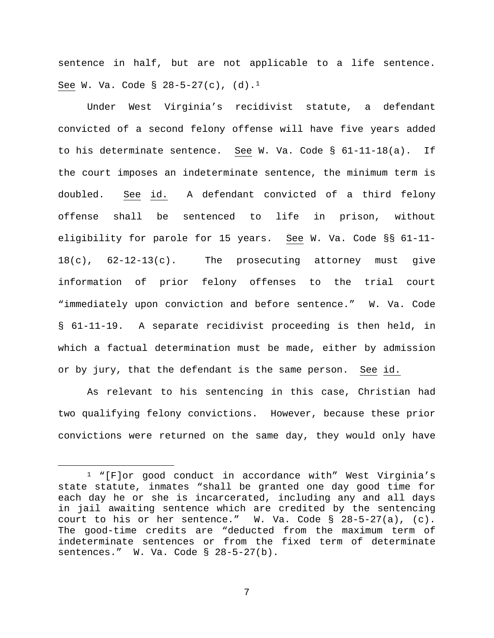sentence in half, but are not applicable to a life sentence. See W. Va. Code § 28-5-27(c),  $(d)$ .<sup>[1](#page-6-0)</sup>

Under West Virginia's recidivist statute, a defendant convicted of a second felony offense will have five years added to his determinate sentence. See W. Va. Code § 61-11-18(a). If the court imposes an indeterminate sentence, the minimum term is doubled. See id. A defendant convicted of a third felony offense shall be sentenced to life in prison, without eligibility for parole for 15 years. See W. Va. Code §§ 61-11- 18(c), 62-12-13(c). The prosecuting attorney must give information of prior felony offenses to the trial court "immediately upon conviction and before sentence." W. Va. Code § 61-11-19. A separate recidivist proceeding is then held, in which a factual determination must be made, either by admission or by jury, that the defendant is the same person. See id.

As relevant to his sentencing in this case, Christian had two qualifying felony convictions. However, because these prior convictions were returned on the same day, they would only have

<span id="page-6-0"></span> <sup>1</sup> "[F]or good conduct in accordance with" West Virginia's state statute, inmates "shall be granted one day good time for each day he or she is incarcerated, including any and all days in jail awaiting sentence which are credited by the sentencing court to his or her sentence." W. Va. Code § 28-5-27(a), (c). The good-time credits are "deducted from the maximum term of indeterminate sentences or from the fixed term of determinate sentences." W. Va. Code § 28-5-27(b).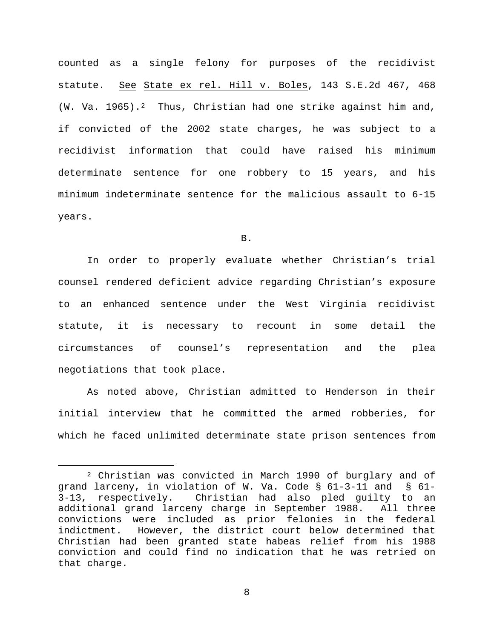counted as a single felony for purposes of the recidivist statute. See State ex rel. Hill v. Boles, 143 S.E.2d 467, 468 (W. Va. 1965).<sup>2</sup> Thus, Christian had one strike against him and, if convicted of the 2002 state charges, he was subject to a recidivist information that could have raised his minimum determinate sentence for one robbery to 15 years, and his minimum indeterminate sentence for the malicious assault to 6-15 years.

B.

In order to properly evaluate whether Christian's trial counsel rendered deficient advice regarding Christian's exposure to an enhanced sentence under the West Virginia recidivist statute, it is necessary to recount in some detail the circumstances of counsel's representation and the plea negotiations that took place.

As noted above, Christian admitted to Henderson in their initial interview that he committed the armed robberies, for which he faced unlimited determinate state prison sentences from

<span id="page-7-0"></span> <sup>2</sup> Christian was convicted in March 1990 of burglary and of grand larceny, in violation of W. Va. Code § 61-3-11 and § 61- 3-13, respectively. Christian had also pled guilty to an additional grand larceny charge in September 1988. All three convictions were included as prior felonies in the federal However, the district court below determined that Christian had been granted state habeas relief from his 1988 conviction and could find no indication that he was retried on that charge.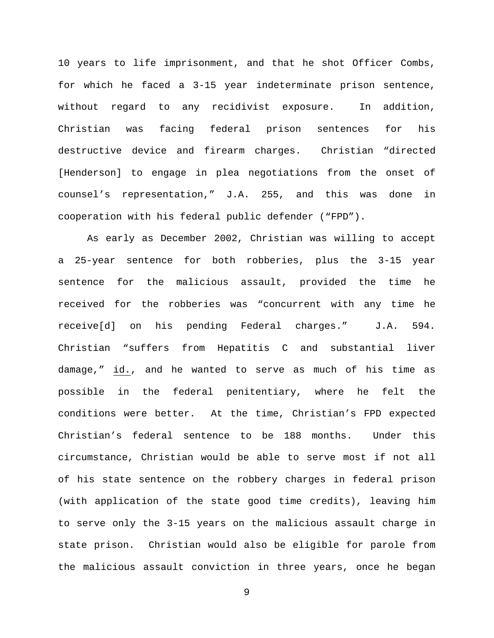10 years to life imprisonment, and that he shot Officer Combs, for which he faced a 3-15 year indeterminate prison sentence, without regard to any recidivist exposure. In addition, Christian was facing federal prison sentences for his destructive device and firearm charges. Christian "directed [Henderson] to engage in plea negotiations from the onset of counsel's representation," J.A. 255, and this was done in cooperation with his federal public defender ("FPD").

As early as December 2002, Christian was willing to accept a 25-year sentence for both robberies, plus the 3-15 year sentence for the malicious assault, provided the time he received for the robberies was "concurrent with any time he receive[d] on his pending Federal charges." J.A. 594. Christian "suffers from Hepatitis C and substantial liver damage," id., and he wanted to serve as much of his time as possible in the federal penitentiary, where he felt the conditions were better. At the time, Christian's FPD expected Christian's federal sentence to be 188 months. Under this circumstance, Christian would be able to serve most if not all of his state sentence on the robbery charges in federal prison (with application of the state good time credits), leaving him to serve only the 3-15 years on the malicious assault charge in state prison. Christian would also be eligible for parole from the malicious assault conviction in three years, once he began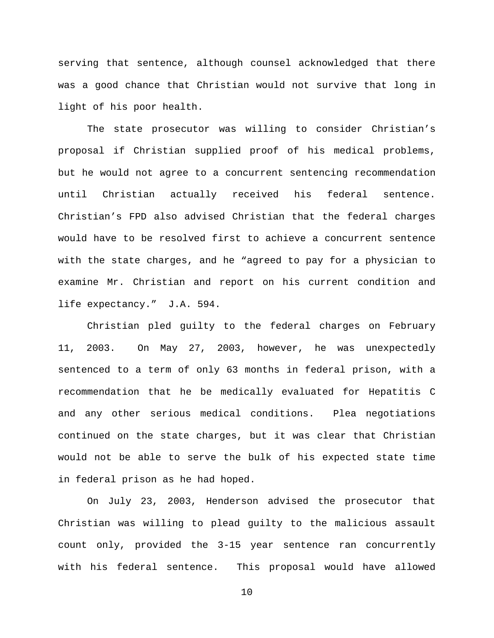serving that sentence, although counsel acknowledged that there was a good chance that Christian would not survive that long in light of his poor health.

The state prosecutor was willing to consider Christian's proposal if Christian supplied proof of his medical problems, but he would not agree to a concurrent sentencing recommendation until Christian actually received his federal sentence. Christian's FPD also advised Christian that the federal charges would have to be resolved first to achieve a concurrent sentence with the state charges, and he "agreed to pay for a physician to examine Mr. Christian and report on his current condition and life expectancy." J.A. 594.

Christian pled guilty to the federal charges on February 11, 2003. On May 27, 2003, however, he was unexpectedly sentenced to a term of only 63 months in federal prison, with a recommendation that he be medically evaluated for Hepatitis C and any other serious medical conditions. Plea negotiations continued on the state charges, but it was clear that Christian would not be able to serve the bulk of his expected state time in federal prison as he had hoped.

On July 23, 2003, Henderson advised the prosecutor that Christian was willing to plead guilty to the malicious assault count only, provided the 3-15 year sentence ran concurrently with his federal sentence. This proposal would have allowed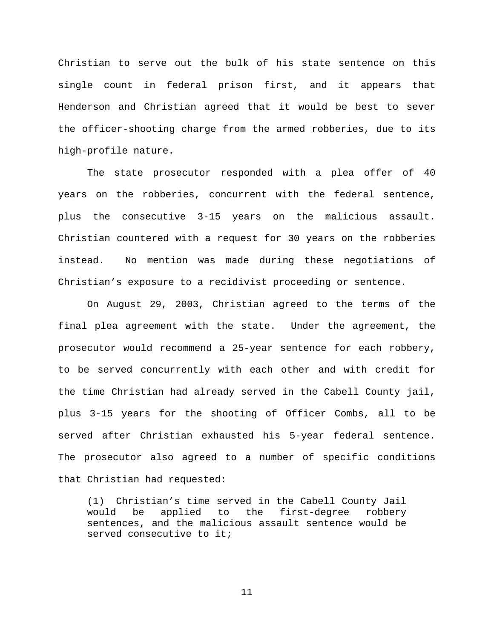Christian to serve out the bulk of his state sentence on this single count in federal prison first, and it appears that Henderson and Christian agreed that it would be best to sever the officer-shooting charge from the armed robberies, due to its high-profile nature.

The state prosecutor responded with a plea offer of 40 years on the robberies, concurrent with the federal sentence, plus the consecutive 3-15 years on the malicious assault. Christian countered with a request for 30 years on the robberies instead. No mention was made during these negotiations of Christian's exposure to a recidivist proceeding or sentence.

On August 29, 2003, Christian agreed to the terms of the final plea agreement with the state. Under the agreement, the prosecutor would recommend a 25-year sentence for each robbery, to be served concurrently with each other and with credit for the time Christian had already served in the Cabell County jail, plus 3-15 years for the shooting of Officer Combs, all to be served after Christian exhausted his 5-year federal sentence. The prosecutor also agreed to a number of specific conditions that Christian had requested:

(1) Christian's time served in the Cabell County Jail would be applied to the first-degree robbery sentences, and the malicious assault sentence would be served consecutive to it;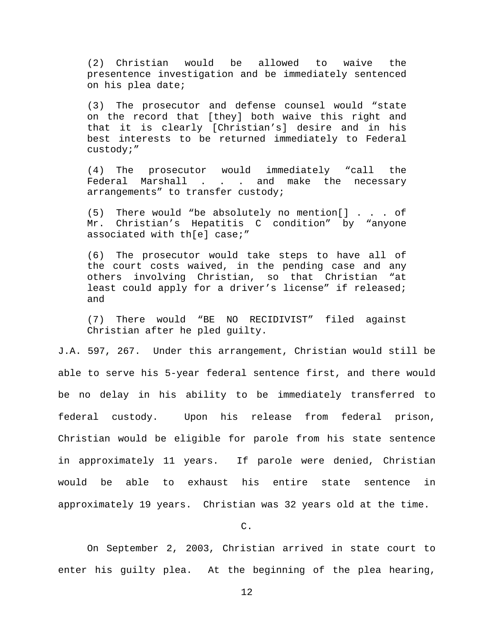(2) Christian would be allowed to waive the presentence investigation and be immediately sentenced on his plea date;

(3) The prosecutor and defense counsel would "state on the record that [they] both waive this right and that it is clearly [Christian's] desire and in his best interests to be returned immediately to Federal custody;"

(4) The prosecutor would immediately "call the Federal Marshall . . . and make the necessary arrangements" to transfer custody;

(5) There would "be absolutely no mention[] . . . of Mr. Christian's Hepatitis C condition" by "anyone associated with th[e] case;"

(6) The prosecutor would take steps to have all of the court costs waived, in the pending case and any others involving Christian, so that Christian "at least could apply for a driver's license" if released; and

(7) There would "BE NO RECIDIVIST" filed against Christian after he pled guilty.

J.A. 597, 267. Under this arrangement, Christian would still be able to serve his 5-year federal sentence first, and there would be no delay in his ability to be immediately transferred to federal custody. Upon his release from federal prison, Christian would be eligible for parole from his state sentence in approximately 11 years. If parole were denied, Christian would be able to exhaust his entire state sentence in approximately 19 years. Christian was 32 years old at the time.

C.

On September 2, 2003, Christian arrived in state court to enter his guilty plea. At the beginning of the plea hearing,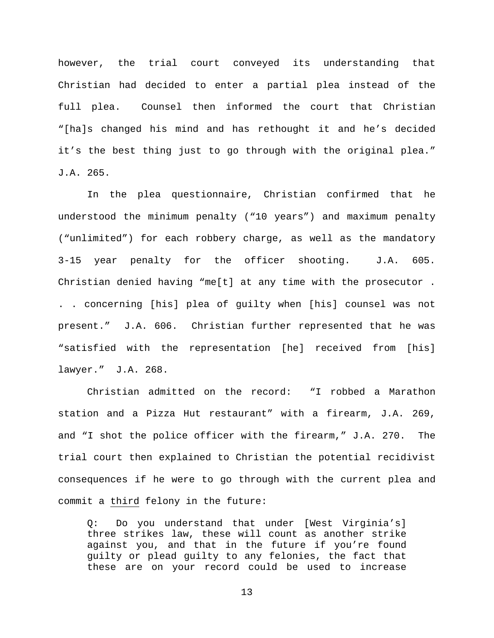however, the trial court conveyed its understanding that Christian had decided to enter a partial plea instead of the full plea. Counsel then informed the court that Christian "[ha]s changed his mind and has rethought it and he's decided it's the best thing just to go through with the original plea." J.A. 265.

In the plea questionnaire, Christian confirmed that he understood the minimum penalty ("10 years") and maximum penalty ("unlimited") for each robbery charge, as well as the mandatory 3-15 year penalty for the officer shooting. J.A. 605. Christian denied having "me[t] at any time with the prosecutor . . . concerning [his] plea of guilty when [his] counsel was not present." J.A. 606. Christian further represented that he was "satisfied with the representation [he] received from [his] lawyer." J.A. 268.

Christian admitted on the record: "I robbed a Marathon station and a Pizza Hut restaurant" with a firearm, J.A. 269, and "I shot the police officer with the firearm," J.A. 270. The trial court then explained to Christian the potential recidivist consequences if he were to go through with the current plea and commit a third felony in the future:

Q: Do you understand that under [West Virginia's] three strikes law, these will count as another strike against you, and that in the future if you're found guilty or plead guilty to any felonies, the fact that these are on your record could be used to increase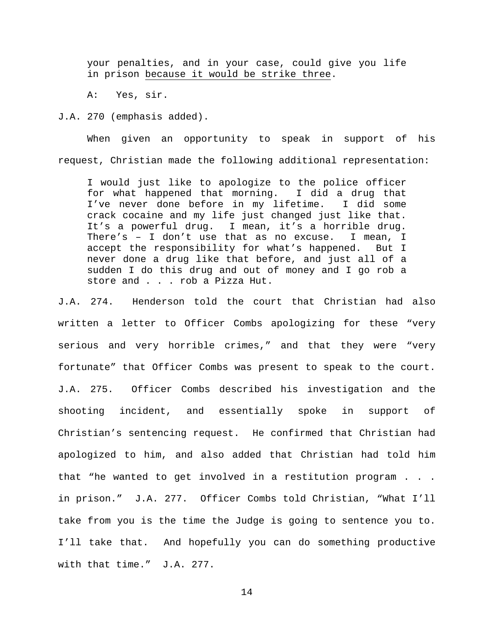your penalties, and in your case, could give you life in prison because it would be strike three.

A: Yes, sir.

J.A. 270 (emphasis added).

When given an opportunity to speak in support of his request, Christian made the following additional representation:

I would just like to apologize to the police officer for what happened that morning. I did a drug that I've never done before in my lifetime. I did some crack cocaine and my life just changed just like that. It's a powerful drug. I mean, it's a horrible drug. There's – I don't use that as no excuse. I mean, I accept the responsibility for what's happened. But I never done a drug like that before, and just all of a sudden I do this drug and out of money and I go rob a store and . . . rob a Pizza Hut.

J.A. 274. Henderson told the court that Christian had also written a letter to Officer Combs apologizing for these "very serious and very horrible crimes," and that they were "very fortunate" that Officer Combs was present to speak to the court. J.A. 275. Officer Combs described his investigation and the shooting incident, and essentially spoke in support of Christian's sentencing request. He confirmed that Christian had apologized to him, and also added that Christian had told him that "he wanted to get involved in a restitution program . . . in prison." J.A. 277. Officer Combs told Christian, "What I'll take from you is the time the Judge is going to sentence you to. I'll take that. And hopefully you can do something productive with that time." J.A. 277.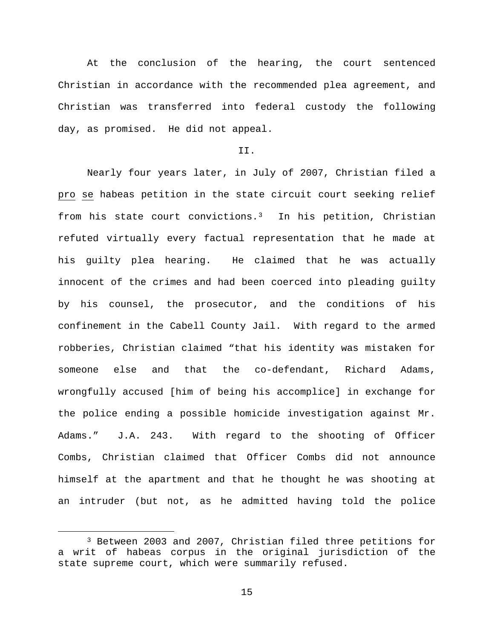At the conclusion of the hearing, the court sentenced Christian in accordance with the recommended plea agreement, and Christian was transferred into federal custody the following day, as promised. He did not appeal.

# II.

Nearly four years later, in July of 2007, Christian filed a pro se habeas petition in the state circuit court seeking relief from his state court convictions.[3](#page-14-0) In his petition, Christian refuted virtually every factual representation that he made at his guilty plea hearing. He claimed that he was actually innocent of the crimes and had been coerced into pleading guilty by his counsel, the prosecutor, and the conditions of his confinement in the Cabell County Jail. With regard to the armed robberies, Christian claimed "that his identity was mistaken for someone else and that the co-defendant, Richard Adams, wrongfully accused [him of being his accomplice] in exchange for the police ending a possible homicide investigation against Mr. Adams." J.A. 243. With regard to the shooting of Officer Combs, Christian claimed that Officer Combs did not announce himself at the apartment and that he thought he was shooting at an intruder (but not, as he admitted having told the police

<span id="page-14-0"></span> <sup>3</sup> Between 2003 and 2007, Christian filed three petitions for a writ of habeas corpus in the original jurisdiction of the state supreme court, which were summarily refused.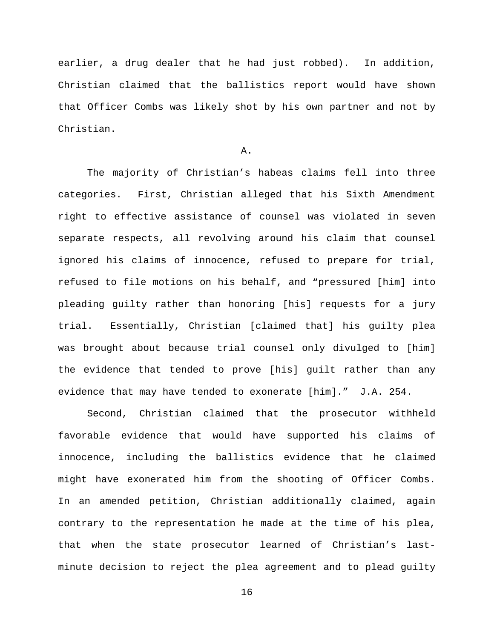earlier, a drug dealer that he had just robbed). In addition, Christian claimed that the ballistics report would have shown that Officer Combs was likely shot by his own partner and not by Christian.

A.

The majority of Christian's habeas claims fell into three categories. First, Christian alleged that his Sixth Amendment right to effective assistance of counsel was violated in seven separate respects, all revolving around his claim that counsel ignored his claims of innocence, refused to prepare for trial, refused to file motions on his behalf, and "pressured [him] into pleading guilty rather than honoring [his] requests for a jury trial. Essentially, Christian [claimed that] his guilty plea was brought about because trial counsel only divulged to [him] the evidence that tended to prove [his] guilt rather than any evidence that may have tended to exonerate [him]." J.A. 254.

Second, Christian claimed that the prosecutor withheld favorable evidence that would have supported his claims of innocence, including the ballistics evidence that he claimed might have exonerated him from the shooting of Officer Combs. In an amended petition, Christian additionally claimed, again contrary to the representation he made at the time of his plea, that when the state prosecutor learned of Christian's lastminute decision to reject the plea agreement and to plead guilty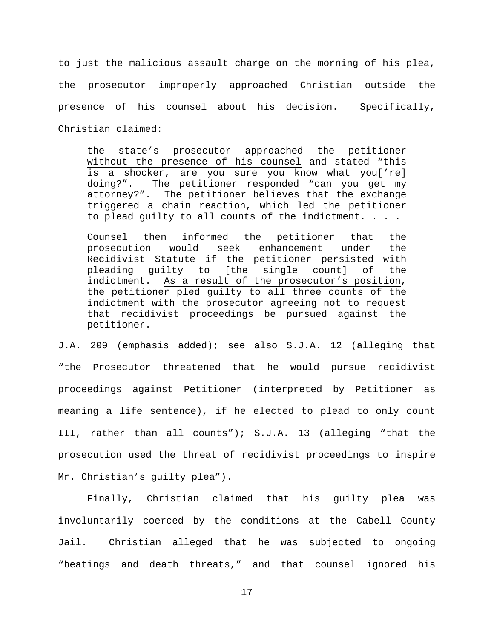to just the malicious assault charge on the morning of his plea, the prosecutor improperly approached Christian outside the presence of his counsel about his decision. Specifically, Christian claimed:

the state's prosecutor approached the petitioner without the presence of his counsel and stated "this is a shocker, are you sure you know what you['re]<br>doing?". The petitioner responded "can you get my The petitioner responded "can you get my attorney?". The petitioner believes that the exchange triggered a chain reaction, which led the petitioner to plead guilty to all counts of the indictment. . . .

Counsel then informed the petitioner that the prosecution would seek enhancement under the Recidivist Statute if the petitioner persisted with pleading guilty to [the single count] of the<br>indictment. As a result of the prosecutor's position, As a result of the prosecutor's position, the petitioner pled guilty to all three counts of the indictment with the prosecutor agreeing not to request that recidivist proceedings be pursued against the petitioner.

J.A. 209 (emphasis added); see also S.J.A. 12 (alleging that "the Prosecutor threatened that he would pursue recidivist proceedings against Petitioner (interpreted by Petitioner as meaning a life sentence), if he elected to plead to only count III, rather than all counts"); S.J.A. 13 (alleging "that the prosecution used the threat of recidivist proceedings to inspire Mr. Christian's guilty plea").

Finally, Christian claimed that his guilty plea was involuntarily coerced by the conditions at the Cabell County Jail. Christian alleged that he was subjected to ongoing "beatings and death threats," and that counsel ignored his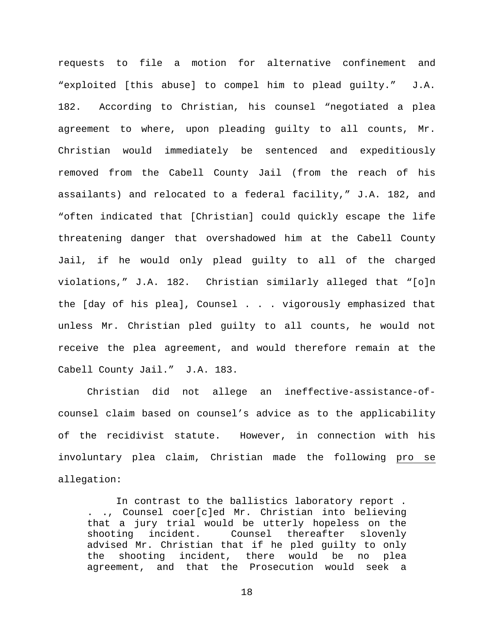requests to file a motion for alternative confinement and "exploited [this abuse] to compel him to plead guilty." J.A. 182. According to Christian, his counsel "negotiated a plea agreement to where, upon pleading guilty to all counts, Mr. Christian would immediately be sentenced and expeditiously removed from the Cabell County Jail (from the reach of his assailants) and relocated to a federal facility," J.A. 182, and "often indicated that [Christian] could quickly escape the life threatening danger that overshadowed him at the Cabell County Jail, if he would only plead guilty to all of the charged violations," J.A. 182. Christian similarly alleged that "[o]n the [day of his plea], Counsel . . . vigorously emphasized that unless Mr. Christian pled guilty to all counts, he would not receive the plea agreement, and would therefore remain at the Cabell County Jail." J.A. 183.

Christian did not allege an ineffective-assistance-ofcounsel claim based on counsel's advice as to the applicability of the recidivist statute. However, in connection with his involuntary plea claim, Christian made the following pro se allegation:

In contrast to the ballistics laboratory report . . ., Counsel coer[c]ed Mr. Christian into believing that a jury trial would be utterly hopeless on the<br>shooting incident. Counsel thereafter slovenly Counsel thereafter slovenly advised Mr. Christian that if he pled guilty to only the shooting incident, there would be no plea agreement, and that the Prosecution would seek a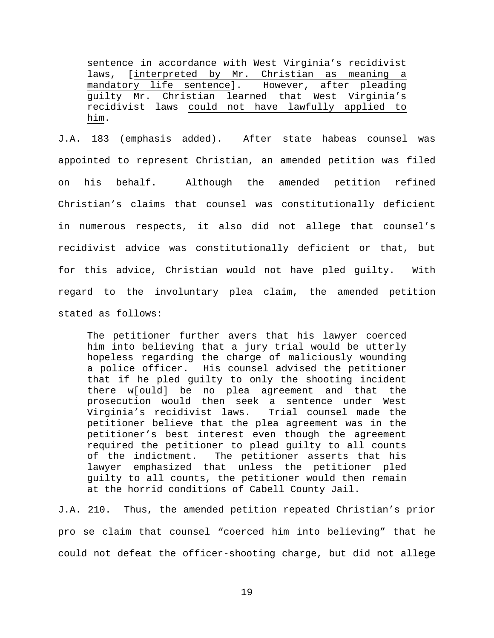sentence in accordance with West Virginia's recidivist laws, [interpreted by Mr. Christian as meaning a mandatory life sentence]. However, after pleading guilty Mr. Christian learned that West Virginia's recidivist laws could not have lawfully applied to him.

J.A. 183 (emphasis added). After state habeas counsel was appointed to represent Christian, an amended petition was filed on his behalf. Although the amended petition refined Christian's claims that counsel was constitutionally deficient in numerous respects, it also did not allege that counsel's recidivist advice was constitutionally deficient or that, but for this advice, Christian would not have pled guilty. With regard to the involuntary plea claim, the amended petition stated as follows:

The petitioner further avers that his lawyer coerced him into believing that a jury trial would be utterly hopeless regarding the charge of maliciously wounding a police officer. His counsel advised the petitioner that if he pled guilty to only the shooting incident there w[ould] be no plea agreement and that the prosecution would then seek a sentence under West Virginia's recidivist laws. Trial counsel made the petitioner believe that the plea agreement was in the petitioner's best interest even though the agreement required the petitioner to plead guilty to all counts of the indictment. The petitioner asserts that his lawyer emphasized that unless the petitioner pled guilty to all counts, the petitioner would then remain at the horrid conditions of Cabell County Jail.

J.A. 210. Thus, the amended petition repeated Christian's prior pro se claim that counsel "coerced him into believing" that he could not defeat the officer-shooting charge, but did not allege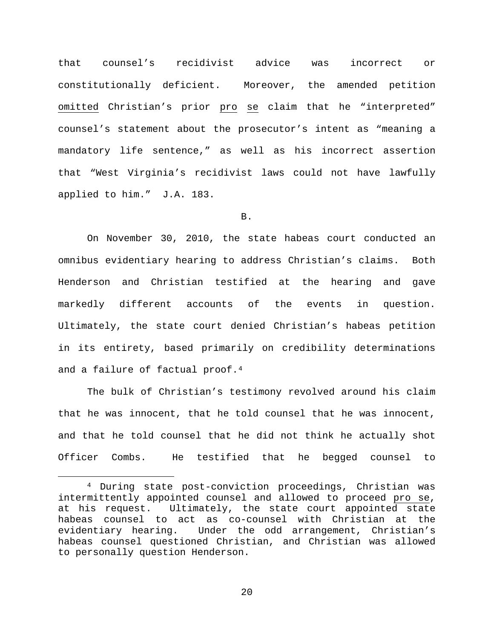that counsel's recidivist advice was incorrect or constitutionally deficient. Moreover, the amended petition omitted Christian's prior pro se claim that he "interpreted" counsel's statement about the prosecutor's intent as "meaning a mandatory life sentence," as well as his incorrect assertion that "West Virginia's recidivist laws could not have lawfully applied to him." J.A. 183.

B.

On November 30, 2010, the state habeas court conducted an omnibus evidentiary hearing to address Christian's claims. Both Henderson and Christian testified at the hearing and gave markedly different accounts of the events in question. Ultimately, the state court denied Christian's habeas petition in its entirety, based primarily on credibility determinations and a failure of factual proof.<sup>[4](#page-19-0)</sup>

The bulk of Christian's testimony revolved around his claim that he was innocent, that he told counsel that he was innocent, and that he told counsel that he did not think he actually shot Officer Combs. He testified that he begged counsel to

<span id="page-19-0"></span> <sup>4</sup> During state post-conviction proceedings, Christian was intermittently appointed counsel and allowed to proceed pro se, at his request. Ultimately, the state court appointed state habeas counsel to act as co-counsel with Christian at the evidentiary hearing. Under the odd arrangement, Christian's habeas counsel questioned Christian, and Christian was allowed to personally question Henderson.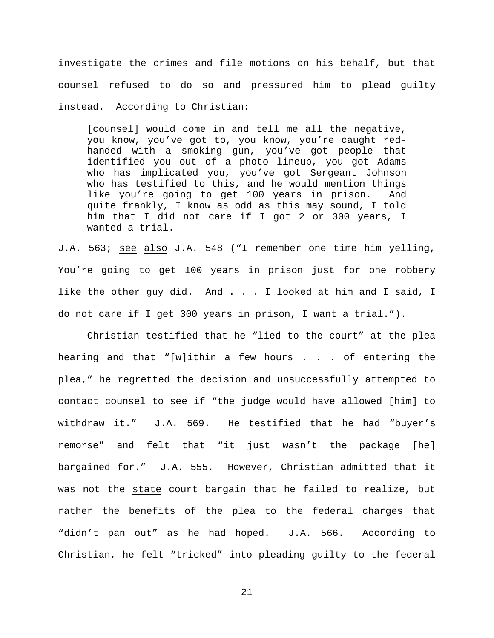investigate the crimes and file motions on his behalf, but that counsel refused to do so and pressured him to plead guilty instead. According to Christian:

[counsel] would come in and tell me all the negative, you know, you've got to, you know, you're caught redhanded with a smoking gun, you've got people that identified you out of a photo lineup, you got Adams who has implicated you, you've got Sergeant Johnson who has testified to this, and he would mention things like you're going to get 100 years in prison. And quite frankly, I know as odd as this may sound, I told him that I did not care if I got 2 or 300 years, I wanted a trial.

J.A. 563; see also J.A. 548 ("I remember one time him yelling, You're going to get 100 years in prison just for one robbery like the other guy did. And . . . I looked at him and I said, I do not care if I get 300 years in prison, I want a trial.").

Christian testified that he "lied to the court" at the plea hearing and that "[w]ithin a few hours  $\ldots$  of entering the plea," he regretted the decision and unsuccessfully attempted to contact counsel to see if "the judge would have allowed [him] to withdraw it." J.A. 569. He testified that he had "buyer's remorse" and felt that "it just wasn't the package [he] bargained for." J.A. 555. However, Christian admitted that it was not the state court bargain that he failed to realize, but rather the benefits of the plea to the federal charges that "didn't pan out" as he had hoped. J.A. 566. According to Christian, he felt "tricked" into pleading guilty to the federal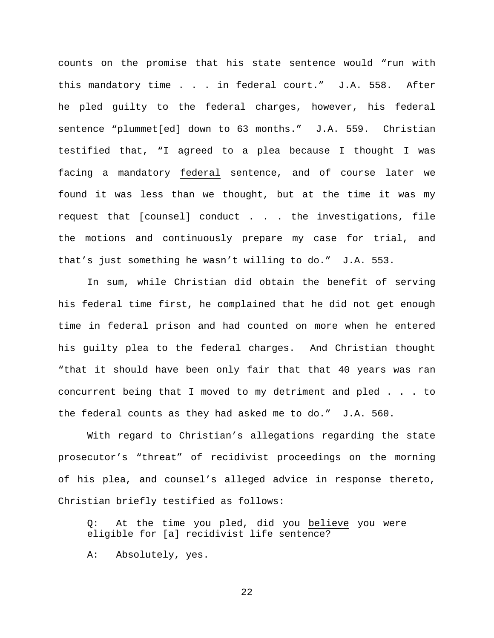counts on the promise that his state sentence would "run with this mandatory time . . . in federal court." J.A. 558. After he pled guilty to the federal charges, however, his federal sentence "plummet[ed] down to 63 months." J.A. 559. Christian testified that, "I agreed to a plea because I thought I was facing a mandatory federal sentence, and of course later we found it was less than we thought, but at the time it was my request that [counsel] conduct . . . the investigations, file the motions and continuously prepare my case for trial, and that's just something he wasn't willing to do." J.A. 553.

In sum, while Christian did obtain the benefit of serving his federal time first, he complained that he did not get enough time in federal prison and had counted on more when he entered his guilty plea to the federal charges. And Christian thought "that it should have been only fair that that 40 years was ran concurrent being that I moved to my detriment and pled . . . to the federal counts as they had asked me to do." J.A. 560.

With regard to Christian's allegations regarding the state prosecutor's "threat" of recidivist proceedings on the morning of his plea, and counsel's alleged advice in response thereto, Christian briefly testified as follows:

Q: At the time you pled, did you believe you were eligible for [a] recidivist life sentence?

A: Absolutely, yes.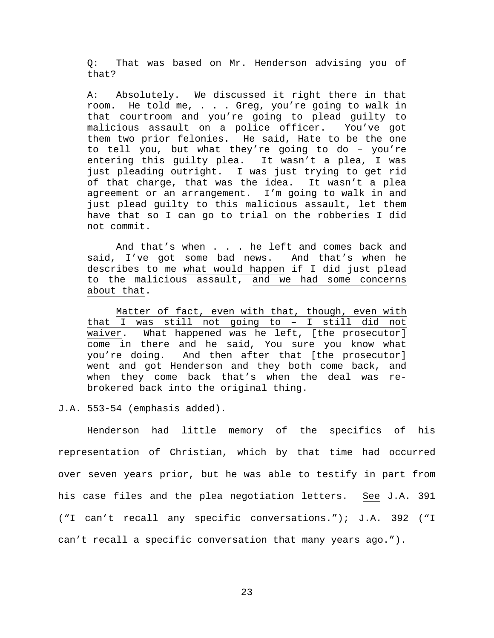Q: That was based on Mr. Henderson advising you of that?

A: Absolutely. We discussed it right there in that room. He told me, . . . Greg, you're going to walk in that courtroom and you're going to plead guilty to<br>malicious assault on a police officer. You've got malicious assault on a police officer. them two prior felonies. He said, Hate to be the one to tell you, but what they're going to do – you're entering this guilty plea. It wasn't a plea, I was just pleading outright. I was just trying to get rid<br>of that charge, that was the idea. It wasn't a plea of that charge, that was the idea. agreement or an arrangement. I'm going to walk in and just plead guilty to this malicious assault, let them have that so I can go to trial on the robberies I did not commit.

And that's when . . . he left and comes back and said, I've got some bad news. And that's when he describes to me what would happen if I did just plead to the malicious assault, and we had some concerns about that.

Matter of fact, even with that, though, even with that I was still not going to – I still did not waiver. What happened was he left, [the prosecutor] come in there and he said, You sure you know what you're doing. And then after that [the prosecutor] went and got Henderson and they both come back, and when they come back that's when the deal was rebrokered back into the original thing.

J.A. 553-54 (emphasis added).

Henderson had little memory of the specifics of his representation of Christian, which by that time had occurred over seven years prior, but he was able to testify in part from his case files and the plea negotiation letters. See J.A. 391 ("I can't recall any specific conversations."); J.A. 392 ("I can't recall a specific conversation that many years ago.").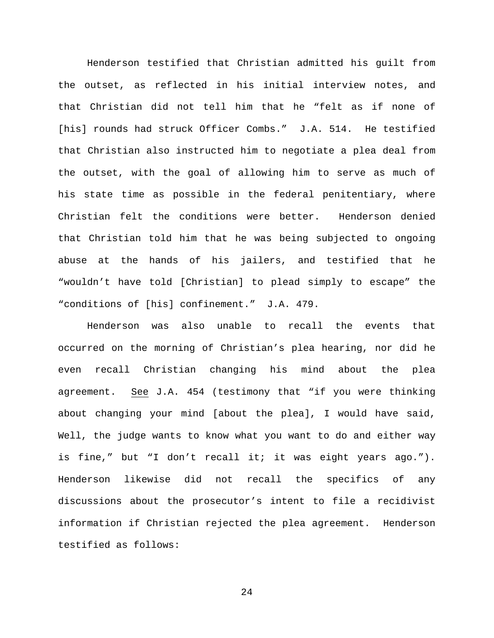Henderson testified that Christian admitted his guilt from the outset, as reflected in his initial interview notes, and that Christian did not tell him that he "felt as if none of [his] rounds had struck Officer Combs." J.A. 514. He testified that Christian also instructed him to negotiate a plea deal from the outset, with the goal of allowing him to serve as much of his state time as possible in the federal penitentiary, where Christian felt the conditions were better. Henderson denied that Christian told him that he was being subjected to ongoing abuse at the hands of his jailers, and testified that he "wouldn't have told [Christian] to plead simply to escape" the "conditions of [his] confinement." J.A. 479.

Henderson was also unable to recall the events that occurred on the morning of Christian's plea hearing, nor did he even recall Christian changing his mind about the plea agreement. See J.A. 454 (testimony that "if you were thinking about changing your mind [about the plea], I would have said, Well, the judge wants to know what you want to do and either way is fine," but "I don't recall it; it was eight years ago."). Henderson likewise did not recall the specifics of any discussions about the prosecutor's intent to file a recidivist information if Christian rejected the plea agreement. Henderson testified as follows: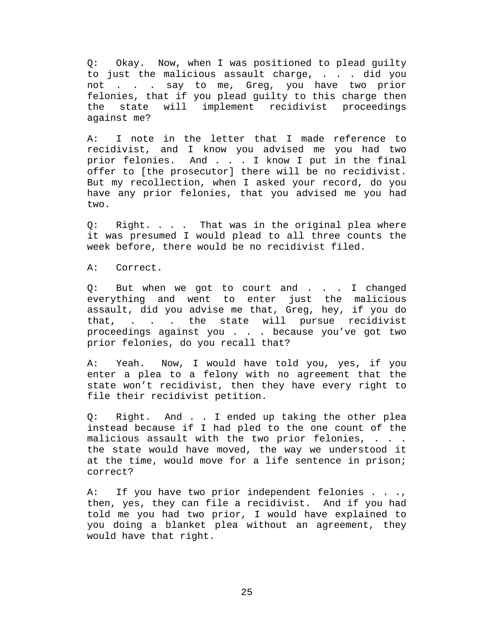Q: Okay. Now, when I was positioned to plead guilty to just the malicious assault charge, . . . did you not . . . say to me, Greg, you have two prior felonies, that if you plead guilty to this charge then<br>the state will implement recidivist proceedings will implement recidivist proceedings against me?

A: I note in the letter that I made reference to recidivist, and I know you advised me you had two prior felonies. And . . . I know I put in the final offer to [the prosecutor] there will be no recidivist. But my recollection, when I asked your record, do you have any prior felonies, that you advised me you had two.

Q: Right. . . . That was in the original plea where it was presumed I would plead to all three counts the week before, there would be no recidivist filed.

A: Correct.

Q: But when we got to court and . . . I changed everything and went to enter just the malicious assault, did you advise me that, Greg, hey, if you do that, . . . the state will pursue recidivist proceedings against you . . . because you've got two prior felonies, do you recall that?

A: Yeah. Now, I would have told you, yes, if you enter a plea to a felony with no agreement that the state won't recidivist, then they have every right to file their recidivist petition.

Q: Right. And . . I ended up taking the other plea instead because if I had pled to the one count of the malicious assault with the two prior felonies, . . . the state would have moved, the way we understood it at the time, would move for a life sentence in prison; correct?

A: If you have two prior independent felonies . . ., then, yes, they can file a recidivist. And if you had told me you had two prior, I would have explained to you doing a blanket plea without an agreement, they would have that right.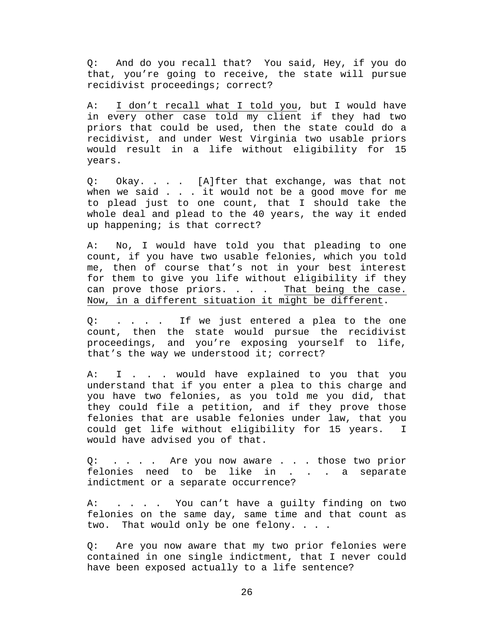Q: And do you recall that? You said, Hey, if you do that, you're going to receive, the state will pursue recidivist proceedings; correct?

A: I don't recall what I told you, but I would have in every other case told my client if they had two priors that could be used, then the state could do a recidivist, and under West Virginia two usable priors would result in a life without eligibility for 15 years.

Q: Okay. . . . [A]fter that exchange, was that not when we said  $\ldots$  it would not be a good move for me to plead just to one count, that I should take the whole deal and plead to the 40 years, the way it ended up happening; is that correct?

A: No, I would have told you that pleading to one count, if you have two usable felonies, which you told me, then of course that's not in your best interest for them to give you life without eligibility if they can prove those priors. . . . That being the case. Now, in a different situation it might be different.

Q: . . . . If we just entered a plea to the one count, then the state would pursue the recidivist proceedings, and you're exposing yourself to life, that's the way we understood it; correct?

A: I . . . would have explained to you that you understand that if you enter a plea to this charge and you have two felonies, as you told me you did, that they could file a petition, and if they prove those felonies that are usable felonies under law, that you could get life without eligibility for 15 years. I would have advised you of that.

Q: . . . . Are you now aware . . . those two prior felonies need to be like in . . . a separate indictment or a separate occurrence?

A: . . . . You can't have a guilty finding on two felonies on the same day, same time and that count as two. That would only be one felony. . . .

Q: Are you now aware that my two prior felonies were contained in one single indictment, that I never could have been exposed actually to a life sentence?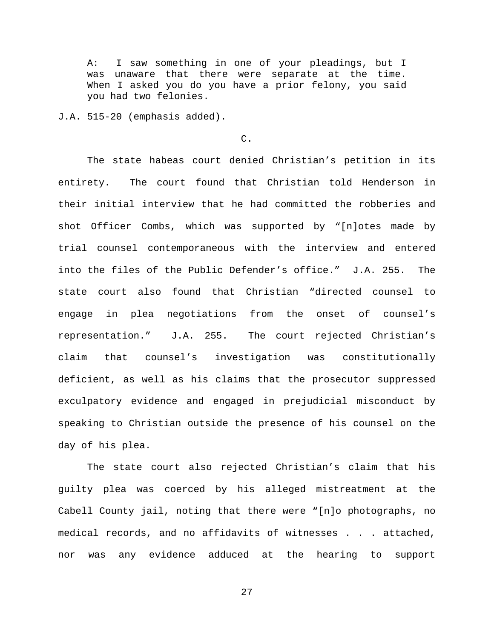A: I saw something in one of your pleadings, but I was unaware that there were separate at the time. When I asked you do you have a prior felony, you said you had two felonies.

J.A. 515-20 (emphasis added).

## C.

The state habeas court denied Christian's petition in its entirety. The court found that Christian told Henderson in their initial interview that he had committed the robberies and shot Officer Combs, which was supported by "[n]otes made by trial counsel contemporaneous with the interview and entered into the files of the Public Defender's office." J.A. 255. The state court also found that Christian "directed counsel to engage in plea negotiations from the onset of counsel's representation." J.A. 255. The court rejected Christian's claim that counsel's investigation was constitutionally deficient, as well as his claims that the prosecutor suppressed exculpatory evidence and engaged in prejudicial misconduct by speaking to Christian outside the presence of his counsel on the day of his plea.

The state court also rejected Christian's claim that his guilty plea was coerced by his alleged mistreatment at the Cabell County jail, noting that there were "[n]o photographs, no medical records, and no affidavits of witnesses . . . attached, nor was any evidence adduced at the hearing to support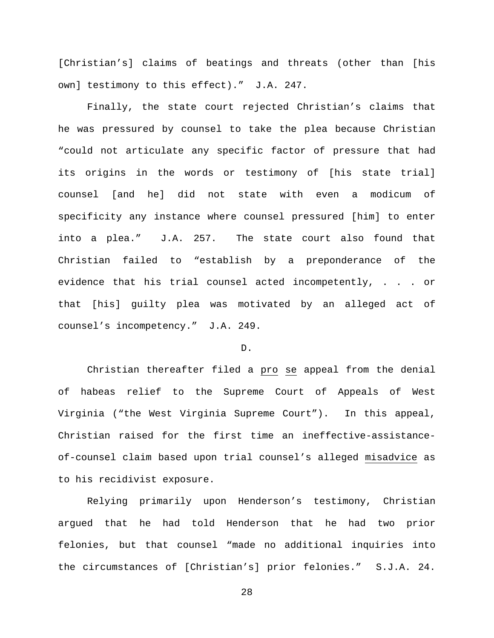[Christian's] claims of beatings and threats (other than [his own] testimony to this effect)." J.A. 247.

Finally, the state court rejected Christian's claims that he was pressured by counsel to take the plea because Christian "could not articulate any specific factor of pressure that had its origins in the words or testimony of [his state trial] counsel [and he] did not state with even a modicum of specificity any instance where counsel pressured [him] to enter into a plea." J.A. 257. The state court also found that Christian failed to "establish by a preponderance of the evidence that his trial counsel acted incompetently, . . . or that [his] guilty plea was motivated by an alleged act of counsel's incompetency." J.A. 249.

## D.

Christian thereafter filed a pro se appeal from the denial of habeas relief to the Supreme Court of Appeals of West Virginia ("the West Virginia Supreme Court"). In this appeal, Christian raised for the first time an ineffective-assistanceof-counsel claim based upon trial counsel's alleged misadvice as to his recidivist exposure.

Relying primarily upon Henderson's testimony, Christian argued that he had told Henderson that he had two prior felonies, but that counsel "made no additional inquiries into the circumstances of [Christian's] prior felonies." S.J.A. 24.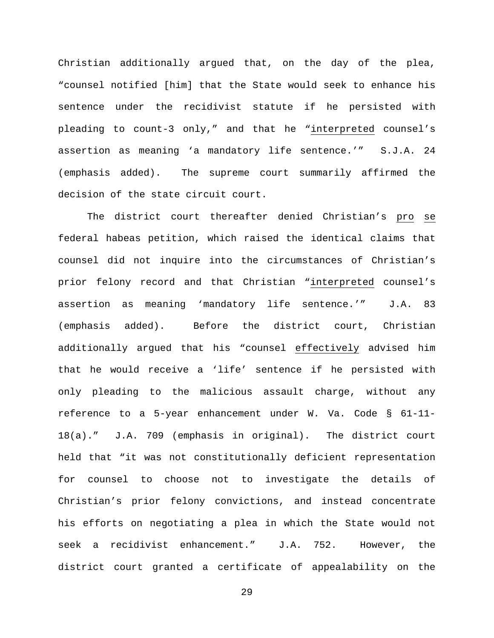Christian additionally argued that, on the day of the plea, "counsel notified [him] that the State would seek to enhance his sentence under the recidivist statute if he persisted with pleading to count-3 only," and that he "interpreted counsel's assertion as meaning 'a mandatory life sentence.'" S.J.A. 24 (emphasis added). The supreme court summarily affirmed the decision of the state circuit court.

The district court thereafter denied Christian's pro se federal habeas petition, which raised the identical claims that counsel did not inquire into the circumstances of Christian's prior felony record and that Christian "interpreted counsel's assertion as meaning 'mandatory life sentence.'" J.A. 83 (emphasis added). Before the district court, Christian additionally argued that his "counsel effectively advised him that he would receive a 'life' sentence if he persisted with only pleading to the malicious assault charge, without any reference to a 5-year enhancement under W. Va. Code § 61-11- 18(a)." J.A. 709 (emphasis in original). The district court held that "it was not constitutionally deficient representation for counsel to choose not to investigate the details of Christian's prior felony convictions, and instead concentrate his efforts on negotiating a plea in which the State would not seek a recidivist enhancement." J.A. 752. However, the district court granted a certificate of appealability on the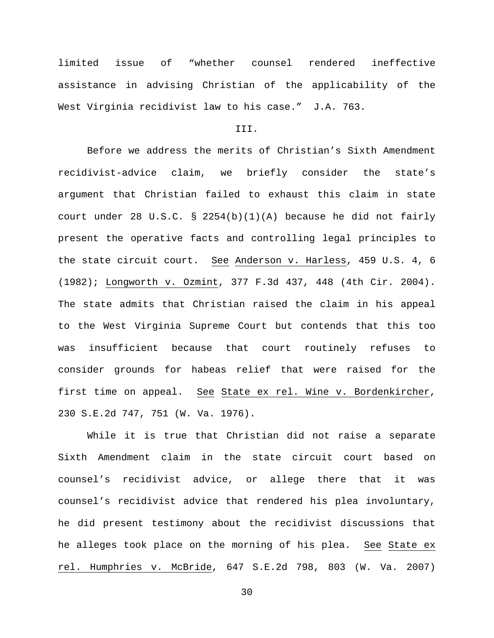limited issue of "whether counsel rendered ineffective assistance in advising Christian of the applicability of the West Virginia recidivist law to his case." J.A. 763.

### III.

Before we address the merits of Christian's Sixth Amendment recidivist-advice claim, we briefly consider the state's argument that Christian failed to exhaust this claim in state court under 28 U.S.C. § 2254(b)(1)(A) because he did not fairly present the operative facts and controlling legal principles to the state circuit court. See Anderson v. Harless, 459 U.S. 4, 6 (1982); Longworth v. Ozmint, 377 F.3d 437, 448 (4th Cir. 2004). The state admits that Christian raised the claim in his appeal to the West Virginia Supreme Court but contends that this too was insufficient because that court routinely refuses to consider grounds for habeas relief that were raised for the first time on appeal. See State ex rel. Wine v. Bordenkircher, 230 S.E.2d 747, 751 (W. Va. 1976).

While it is true that Christian did not raise a separate Sixth Amendment claim in the state circuit court based on counsel's recidivist advice, or allege there that it was counsel's recidivist advice that rendered his plea involuntary, he did present testimony about the recidivist discussions that he alleges took place on the morning of his plea. See State ex rel. Humphries v. McBride, 647 S.E.2d 798, 803 (W. Va. 2007)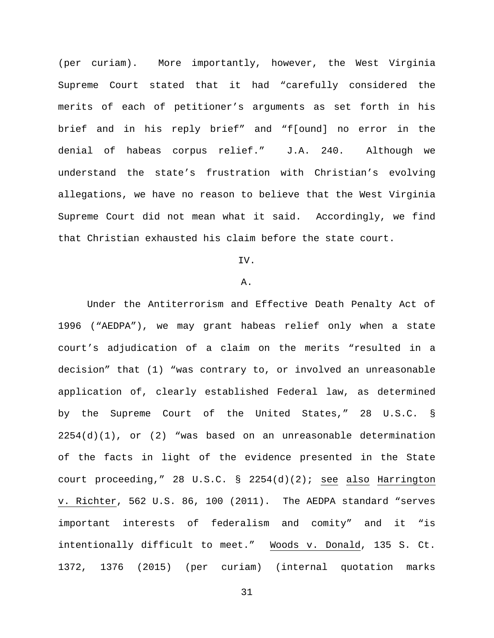(per curiam). More importantly, however, the West Virginia Supreme Court stated that it had "carefully considered the merits of each of petitioner's arguments as set forth in his brief and in his reply brief" and "f[ound] no error in the denial of habeas corpus relief." J.A. 240. Although we understand the state's frustration with Christian's evolving allegations, we have no reason to believe that the West Virginia Supreme Court did not mean what it said. Accordingly, we find that Christian exhausted his claim before the state court.

# IV.

# A.

Under the Antiterrorism and Effective Death Penalty Act of 1996 ("AEDPA"), we may grant habeas relief only when a state court's adjudication of a claim on the merits "resulted in a decision" that (1) "was contrary to, or involved an unreasonable application of, clearly established Federal law, as determined by the Supreme Court of the United States," 28 U.S.C. §  $2254(d)(1)$ , or (2) "was based on an unreasonable determination of the facts in light of the evidence presented in the State court proceeding," 28 U.S.C. § 2254(d)(2); see also Harrington v. Richter, 562 U.S. 86, 100 (2011). The AEDPA standard "serves important interests of federalism and comity" and it "is intentionally difficult to meet." Woods v. Donald, 135 S. Ct. 1372, 1376 (2015) (per curiam) (internal quotation marks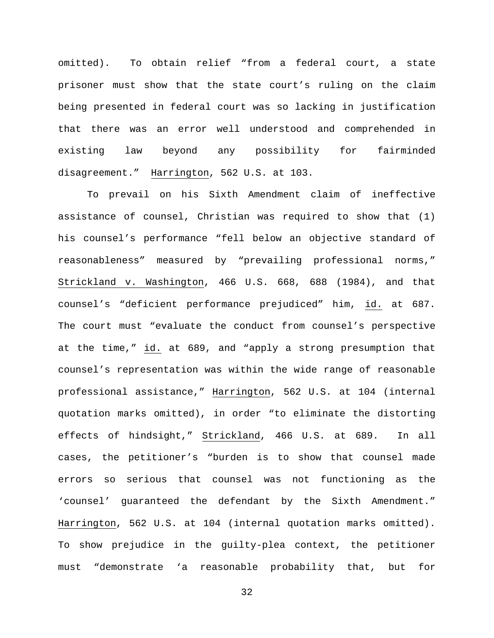omitted). To obtain relief "from a federal court, a state prisoner must show that the state court's ruling on the claim being presented in federal court was so lacking in justification that there was an error well understood and comprehended in existing law beyond any possibility for fairminded disagreement." Harrington, 562 U.S. at 103.

To prevail on his Sixth Amendment claim of ineffective assistance of counsel, Christian was required to show that (1) his counsel's performance "fell below an objective standard of reasonableness" measured by "prevailing professional norms," Strickland v. Washington, 466 U.S. 668, 688 (1984), and that counsel's "deficient performance prejudiced" him, id. at 687. The court must "evaluate the conduct from counsel's perspective at the time," id. at 689, and "apply a strong presumption that counsel's representation was within the wide range of reasonable professional assistance," Harrington, 562 U.S. at 104 (internal quotation marks omitted), in order "to eliminate the distorting effects of hindsight," Strickland, 466 U.S. at 689. In all cases, the petitioner's "burden is to show that counsel made errors so serious that counsel was not functioning as the 'counsel' guaranteed the defendant by the Sixth Amendment." Harrington, 562 U.S. at 104 (internal quotation marks omitted). To show prejudice in the guilty-plea context, the petitioner must "demonstrate 'a reasonable probability that, but for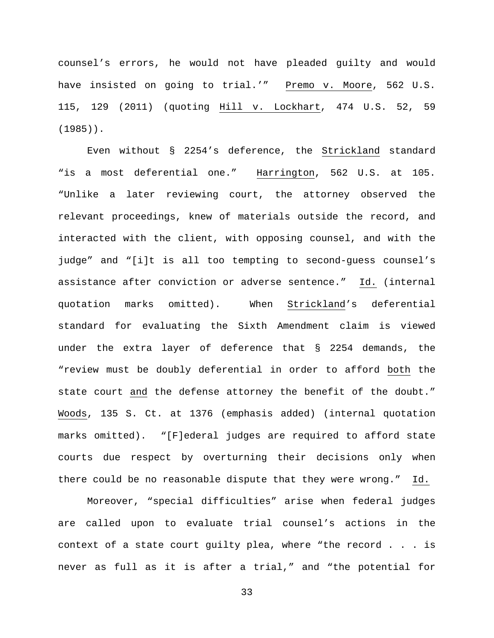counsel's errors, he would not have pleaded guilty and would have insisted on going to trial.'" Premo v. Moore, 562 U.S. 115, 129 (2011) (quoting Hill v. Lockhart, 474 U.S. 52, 59 (1985)).

Even without § 2254's deference, the Strickland standard "is a most deferential one." Harrington, 562 U.S. at 105. "Unlike a later reviewing court, the attorney observed the relevant proceedings, knew of materials outside the record, and interacted with the client, with opposing counsel, and with the judge" and "[i]t is all too tempting to second-guess counsel's assistance after conviction or adverse sentence." Id. (internal quotation marks omitted). When Strickland's deferential standard for evaluating the Sixth Amendment claim is viewed under the extra layer of deference that § 2254 demands, the "review must be doubly deferential in order to afford both the state court and the defense attorney the benefit of the doubt." Woods, 135 S. Ct. at 1376 (emphasis added) (internal quotation marks omitted). "[F]ederal judges are required to afford state courts due respect by overturning their decisions only when there could be no reasonable dispute that they were wrong." Id.

Moreover, "special difficulties" arise when federal judges are called upon to evaluate trial counsel's actions in the context of a state court guilty plea, where "the record . . . is never as full as it is after a trial," and "the potential for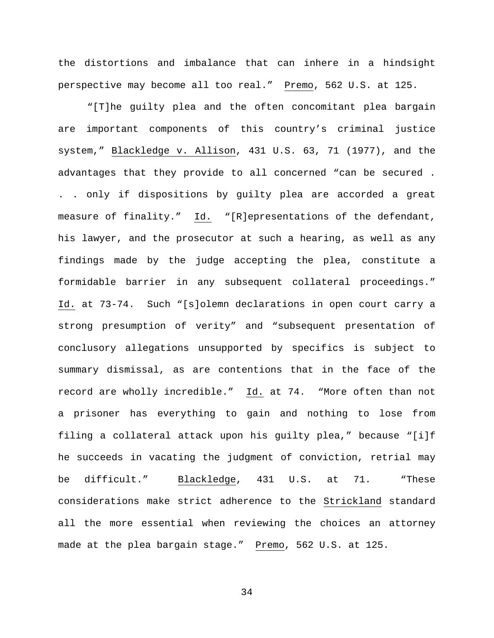the distortions and imbalance that can inhere in a hindsight perspective may become all too real." Premo, 562 U.S. at 125.

"[T]he guilty plea and the often concomitant plea bargain are important components of this country's criminal justice system," Blackledge v. Allison, 431 U.S. 63, 71 (1977), and the advantages that they provide to all concerned "can be secured . . . only if dispositions by guilty plea are accorded a great measure of finality." Id. "[R]epresentations of the defendant, his lawyer, and the prosecutor at such a hearing, as well as any findings made by the judge accepting the plea, constitute a formidable barrier in any subsequent collateral proceedings." Id. at 73-74. Such "[s]olemn declarations in open court carry a strong presumption of verity" and "subsequent presentation of conclusory allegations unsupported by specifics is subject to summary dismissal, as are contentions that in the face of the record are wholly incredible." Id. at 74. "More often than not a prisoner has everything to gain and nothing to lose from filing a collateral attack upon his guilty plea," because "[i]f he succeeds in vacating the judgment of conviction, retrial may be difficult." Blackledge, 431 U.S. at 71. "These considerations make strict adherence to the Strickland standard all the more essential when reviewing the choices an attorney made at the plea bargain stage." Premo, 562 U.S. at 125.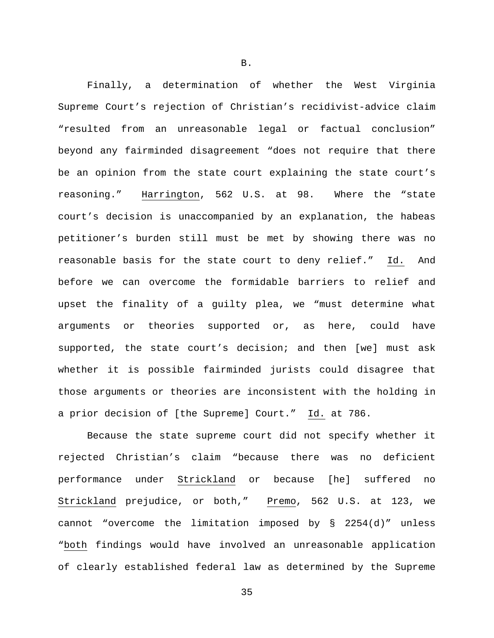Finally, a determination of whether the West Virginia Supreme Court's rejection of Christian's recidivist-advice claim "resulted from an unreasonable legal or factual conclusion" beyond any fairminded disagreement "does not require that there be an opinion from the state court explaining the state court's reasoning." Harrington, 562 U.S. at 98. Where the "state court's decision is unaccompanied by an explanation, the habeas petitioner's burden still must be met by showing there was no reasonable basis for the state court to deny relief." Id. And before we can overcome the formidable barriers to relief and upset the finality of a guilty plea, we "must determine what arguments or theories supported or, as here, could have supported, the state court's decision; and then [we] must ask whether it is possible fairminded jurists could disagree that those arguments or theories are inconsistent with the holding in a prior decision of [the Supreme] Court." Id. at 786.

Because the state supreme court did not specify whether it rejected Christian's claim "because there was no deficient performance under Strickland or because [he] suffered no Strickland prejudice, or both," Premo, 562 U.S. at 123, we cannot "overcome the limitation imposed by § 2254(d)" unless "both findings would have involved an unreasonable application of clearly established federal law as determined by the Supreme

B.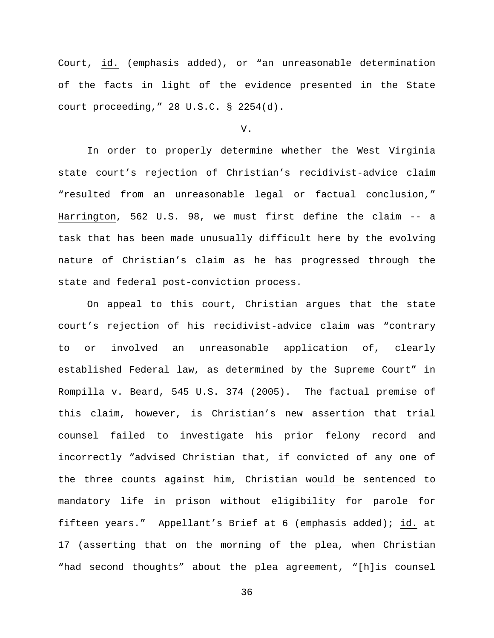Court, id. (emphasis added), or "an unreasonable determination of the facts in light of the evidence presented in the State court proceeding," 28 U.S.C. § 2254(d).

### V.

In order to properly determine whether the West Virginia state court's rejection of Christian's recidivist-advice claim "resulted from an unreasonable legal or factual conclusion," Harrington, 562 U.S. 98, we must first define the claim -- a task that has been made unusually difficult here by the evolving nature of Christian's claim as he has progressed through the state and federal post-conviction process.

On appeal to this court, Christian argues that the state court's rejection of his recidivist-advice claim was "contrary to or involved an unreasonable application of, clearly established Federal law, as determined by the Supreme Court" in Rompilla v. Beard, 545 U.S. 374 (2005). The factual premise of this claim, however, is Christian's new assertion that trial counsel failed to investigate his prior felony record and incorrectly "advised Christian that, if convicted of any one of the three counts against him, Christian would be sentenced to mandatory life in prison without eligibility for parole for fifteen years." Appellant's Brief at 6 (emphasis added); id. at 17 (asserting that on the morning of the plea, when Christian "had second thoughts" about the plea agreement, "[h]is counsel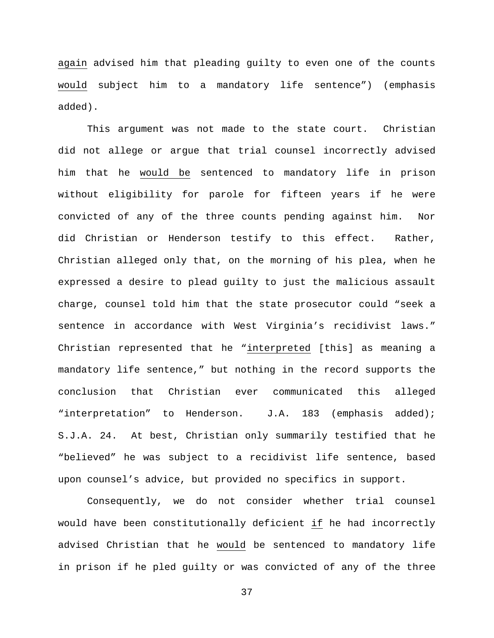again advised him that pleading guilty to even one of the counts would subject him to a mandatory life sentence") (emphasis added).

This argument was not made to the state court. Christian did not allege or argue that trial counsel incorrectly advised him that he would be sentenced to mandatory life in prison without eligibility for parole for fifteen years if he were convicted of any of the three counts pending against him. Nor did Christian or Henderson testify to this effect. Rather, Christian alleged only that, on the morning of his plea, when he expressed a desire to plead guilty to just the malicious assault charge, counsel told him that the state prosecutor could "seek a sentence in accordance with West Virginia's recidivist laws." Christian represented that he "interpreted [this] as meaning a mandatory life sentence," but nothing in the record supports the conclusion that Christian ever communicated this alleged "interpretation" to Henderson. J.A. 183 (emphasis added); S.J.A. 24. At best, Christian only summarily testified that he "believed" he was subject to a recidivist life sentence, based upon counsel's advice, but provided no specifics in support.

Consequently, we do not consider whether trial counsel would have been constitutionally deficient if he had incorrectly advised Christian that he would be sentenced to mandatory life in prison if he pled guilty or was convicted of any of the three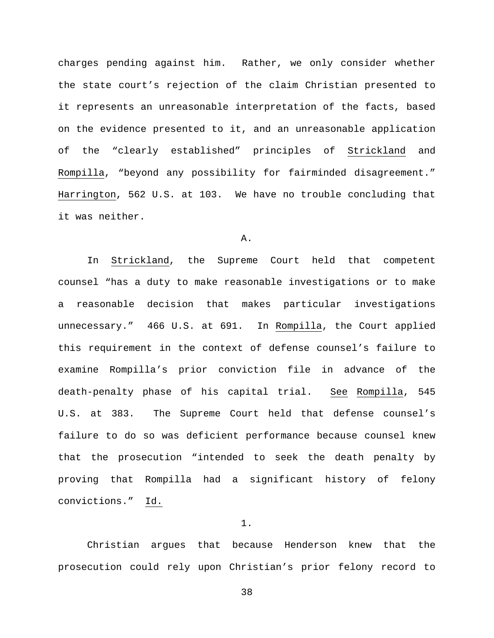charges pending against him. Rather, we only consider whether the state court's rejection of the claim Christian presented to it represents an unreasonable interpretation of the facts, based on the evidence presented to it, and an unreasonable application of the "clearly established" principles of Strickland and Rompilla, "beyond any possibility for fairminded disagreement." Harrington, 562 U.S. at 103. We have no trouble concluding that it was neither.

# A.

In Strickland, the Supreme Court held that competent counsel "has a duty to make reasonable investigations or to make a reasonable decision that makes particular investigations unnecessary." 466 U.S. at 691. In Rompilla, the Court applied this requirement in the context of defense counsel's failure to examine Rompilla's prior conviction file in advance of the death-penalty phase of his capital trial. See Rompilla, 545 U.S. at 383. The Supreme Court held that defense counsel's failure to do so was deficient performance because counsel knew that the prosecution "intended to seek the death penalty by proving that Rompilla had a significant history of felony convictions." Id.

# 1.

Christian argues that because Henderson knew that the prosecution could rely upon Christian's prior felony record to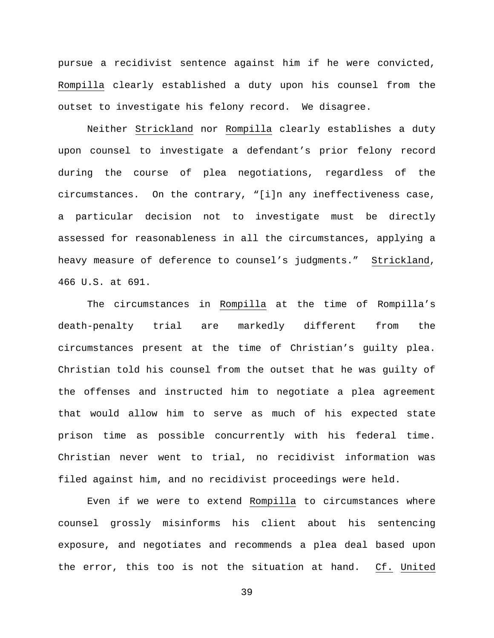pursue a recidivist sentence against him if he were convicted, Rompilla clearly established a duty upon his counsel from the outset to investigate his felony record. We disagree.

Neither Strickland nor Rompilla clearly establishes a duty upon counsel to investigate a defendant's prior felony record during the course of plea negotiations, regardless of the circumstances. On the contrary, "[i]n any ineffectiveness case, a particular decision not to investigate must be directly assessed for reasonableness in all the circumstances, applying a heavy measure of deference to counsel's judgments." Strickland, 466 U.S. at 691.

The circumstances in Rompilla at the time of Rompilla's death-penalty trial are markedly different from the circumstances present at the time of Christian's guilty plea. Christian told his counsel from the outset that he was guilty of the offenses and instructed him to negotiate a plea agreement that would allow him to serve as much of his expected state prison time as possible concurrently with his federal time. Christian never went to trial, no recidivist information was filed against him, and no recidivist proceedings were held.

Even if we were to extend Rompilla to circumstances where counsel grossly misinforms his client about his sentencing exposure, and negotiates and recommends a plea deal based upon the error, this too is not the situation at hand. Cf. United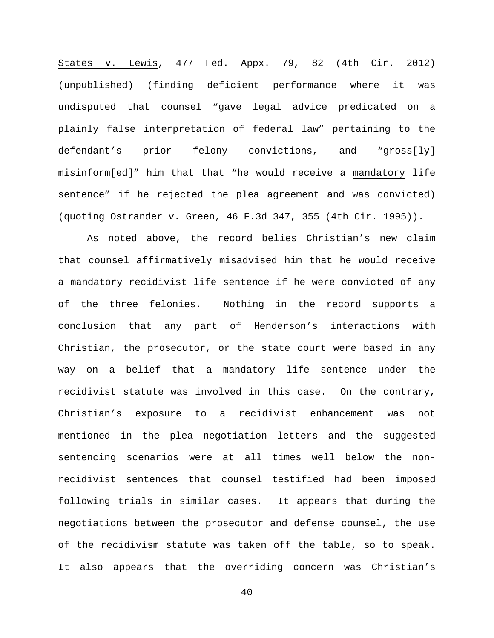States v. Lewis, 477 Fed. Appx. 79, 82 (4th Cir. 2012) (unpublished) (finding deficient performance where it was undisputed that counsel "gave legal advice predicated on a plainly false interpretation of federal law" pertaining to the defendant's prior felony convictions, and "gross[ly] misinform[ed]" him that that "he would receive a mandatory life sentence" if he rejected the plea agreement and was convicted) (quoting Ostrander v. Green, 46 F.3d 347, 355 (4th Cir. 1995)).

As noted above, the record belies Christian's new claim that counsel affirmatively misadvised him that he would receive a mandatory recidivist life sentence if he were convicted of any of the three felonies. Nothing in the record supports a conclusion that any part of Henderson's interactions with Christian, the prosecutor, or the state court were based in any way on a belief that a mandatory life sentence under the recidivist statute was involved in this case. On the contrary, Christian's exposure to a recidivist enhancement was not mentioned in the plea negotiation letters and the suggested sentencing scenarios were at all times well below the nonrecidivist sentences that counsel testified had been imposed following trials in similar cases. It appears that during the negotiations between the prosecutor and defense counsel, the use of the recidivism statute was taken off the table, so to speak. It also appears that the overriding concern was Christian's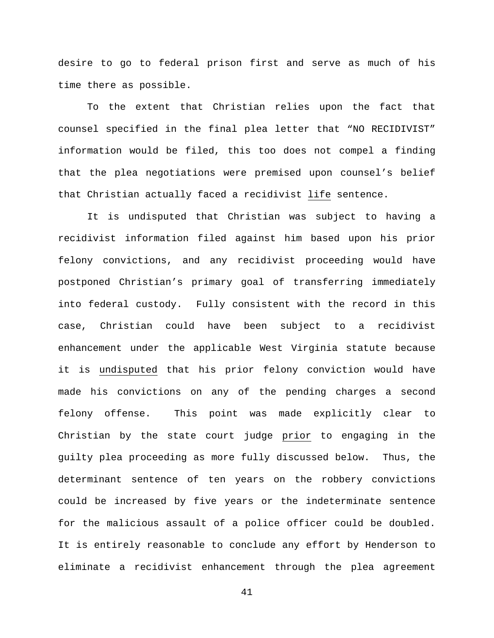desire to go to federal prison first and serve as much of his time there as possible.

To the extent that Christian relies upon the fact that counsel specified in the final plea letter that "NO RECIDIVIST" information would be filed, this too does not compel a finding that the plea negotiations were premised upon counsel's belief that Christian actually faced a recidivist life sentence.

It is undisputed that Christian was subject to having a recidivist information filed against him based upon his prior felony convictions, and any recidivist proceeding would have postponed Christian's primary goal of transferring immediately into federal custody. Fully consistent with the record in this case, Christian could have been subject to a recidivist enhancement under the applicable West Virginia statute because it is undisputed that his prior felony conviction would have made his convictions on any of the pending charges a second felony offense. This point was made explicitly clear to Christian by the state court judge prior to engaging in the guilty plea proceeding as more fully discussed below. Thus, the determinant sentence of ten years on the robbery convictions could be increased by five years or the indeterminate sentence for the malicious assault of a police officer could be doubled. It is entirely reasonable to conclude any effort by Henderson to eliminate a recidivist enhancement through the plea agreement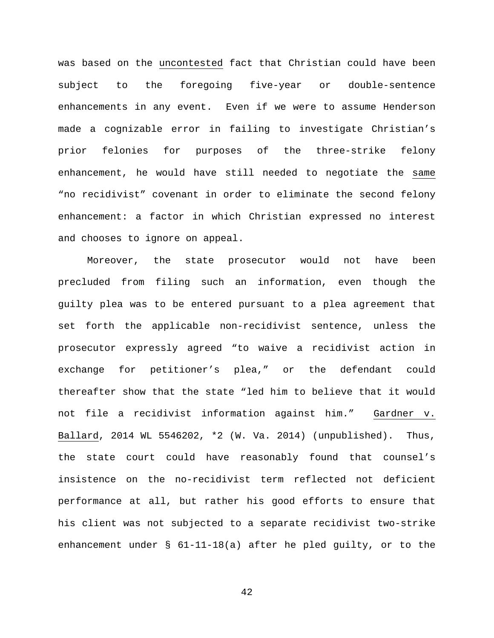was based on the uncontested fact that Christian could have been subject to the foregoing five-year or double-sentence enhancements in any event. Even if we were to assume Henderson made a cognizable error in failing to investigate Christian's prior felonies for purposes of the three-strike felony enhancement, he would have still needed to negotiate the same "no recidivist" covenant in order to eliminate the second felony enhancement: a factor in which Christian expressed no interest and chooses to ignore on appeal.

Moreover, the state prosecutor would not have been precluded from filing such an information, even though the guilty plea was to be entered pursuant to a plea agreement that set forth the applicable non-recidivist sentence, unless the prosecutor expressly agreed "to waive a recidivist action in exchange for petitioner's plea," or the defendant could thereafter show that the state "led him to believe that it would not file a recidivist information against him." Gardner v. Ballard, 2014 WL 5546202, \*2 (W. Va. 2014) (unpublished). Thus, the state court could have reasonably found that counsel's insistence on the no-recidivist term reflected not deficient performance at all, but rather his good efforts to ensure that his client was not subjected to a separate recidivist two-strike enhancement under § 61-11-18(a) after he pled guilty, or to the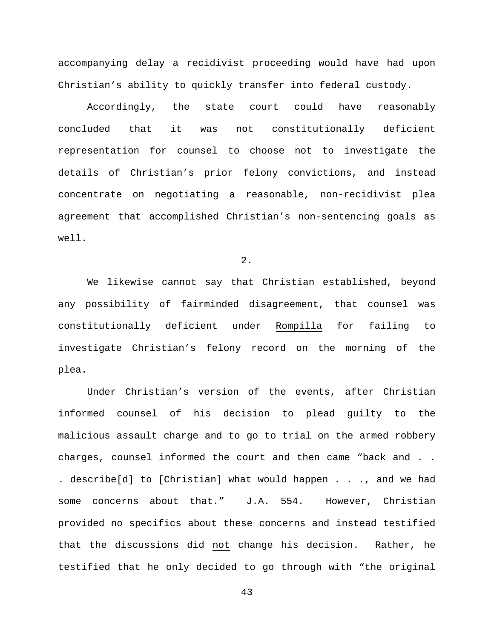accompanying delay a recidivist proceeding would have had upon Christian's ability to quickly transfer into federal custody.

Accordingly, the state court could have reasonably concluded that it was not constitutionally deficient representation for counsel to choose not to investigate the details of Christian's prior felony convictions, and instead concentrate on negotiating a reasonable, non-recidivist plea agreement that accomplished Christian's non-sentencing goals as well.

2.

We likewise cannot say that Christian established, beyond any possibility of fairminded disagreement, that counsel was constitutionally deficient under Rompilla for failing to investigate Christian's felony record on the morning of the plea.

Under Christian's version of the events, after Christian informed counsel of his decision to plead guilty to the malicious assault charge and to go to trial on the armed robbery charges, counsel informed the court and then came "back and . . . describe[d] to [Christian] what would happen . . ., and we had some concerns about that." J.A. 554. However, Christian provided no specifics about these concerns and instead testified that the discussions did not change his decision. Rather, he testified that he only decided to go through with "the original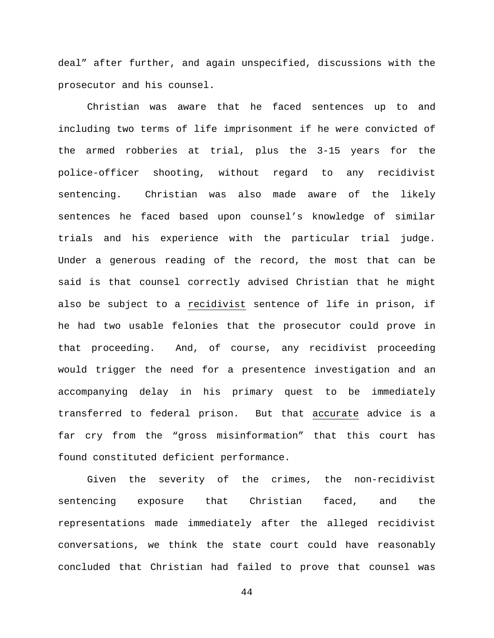deal" after further, and again unspecified, discussions with the prosecutor and his counsel.

Christian was aware that he faced sentences up to and including two terms of life imprisonment if he were convicted of the armed robberies at trial, plus the 3-15 years for the police-officer shooting, without regard to any recidivist sentencing. Christian was also made aware of the likely sentences he faced based upon counsel's knowledge of similar trials and his experience with the particular trial judge. Under a generous reading of the record, the most that can be said is that counsel correctly advised Christian that he might also be subject to a recidivist sentence of life in prison, if he had two usable felonies that the prosecutor could prove in that proceeding. And, of course, any recidivist proceeding would trigger the need for a presentence investigation and an accompanying delay in his primary quest to be immediately transferred to federal prison. But that accurate advice is a far cry from the "gross misinformation" that this court has found constituted deficient performance.

Given the severity of the crimes, the non-recidivist sentencing exposure that Christian faced, and the representations made immediately after the alleged recidivist conversations, we think the state court could have reasonably concluded that Christian had failed to prove that counsel was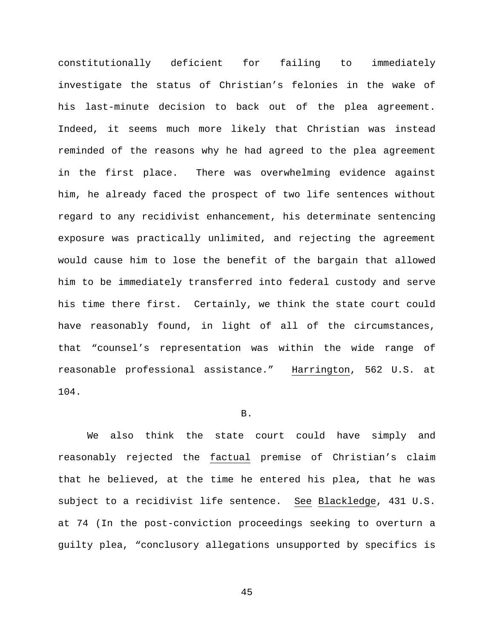constitutionally deficient for failing to immediately investigate the status of Christian's felonies in the wake of his last-minute decision to back out of the plea agreement. Indeed, it seems much more likely that Christian was instead reminded of the reasons why he had agreed to the plea agreement in the first place. There was overwhelming evidence against him, he already faced the prospect of two life sentences without regard to any recidivist enhancement, his determinate sentencing exposure was practically unlimited, and rejecting the agreement would cause him to lose the benefit of the bargain that allowed him to be immediately transferred into federal custody and serve his time there first. Certainly, we think the state court could have reasonably found, in light of all of the circumstances, that "counsel's representation was within the wide range of reasonable professional assistance." Harrington, 562 U.S. at 104.

### B.

We also think the state court could have simply and reasonably rejected the factual premise of Christian's claim that he believed, at the time he entered his plea, that he was subject to a recidivist life sentence. See Blackledge, 431 U.S. at 74 (In the post-conviction proceedings seeking to overturn a guilty plea, "conclusory allegations unsupported by specifics is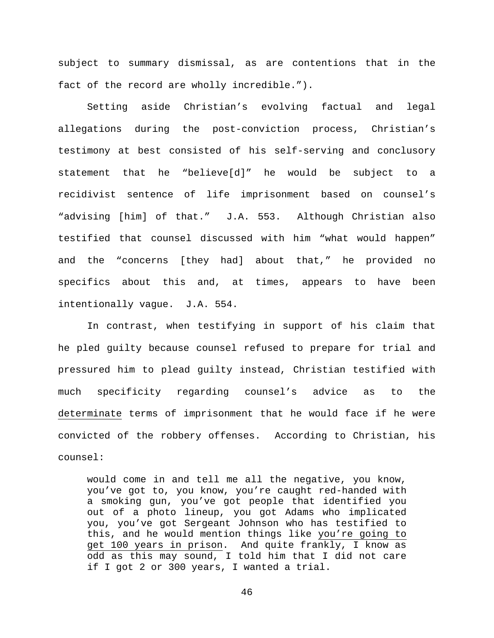subject to summary dismissal, as are contentions that in the fact of the record are wholly incredible.").

Setting aside Christian's evolving factual and legal allegations during the post-conviction process, Christian's testimony at best consisted of his self-serving and conclusory statement that he "believe[d]" he would be subject to a recidivist sentence of life imprisonment based on counsel's "advising [him] of that." J.A. 553. Although Christian also testified that counsel discussed with him "what would happen" and the "concerns [they had] about that," he provided no specifics about this and, at times, appears to have been intentionally vague. J.A. 554.

In contrast, when testifying in support of his claim that he pled guilty because counsel refused to prepare for trial and pressured him to plead guilty instead, Christian testified with much specificity regarding counsel's advice as to the determinate terms of imprisonment that he would face if he were convicted of the robbery offenses. According to Christian, his counsel:

would come in and tell me all the negative, you know, you've got to, you know, you're caught red-handed with a smoking gun, you've got people that identified you out of a photo lineup, you got Adams who implicated you, you've got Sergeant Johnson who has testified to this, and he would mention things like you're going to get 100 years in prison. And quite frankly, I know as odd as this may sound, I told him that I did not care if I got 2 or 300 years, I wanted a trial.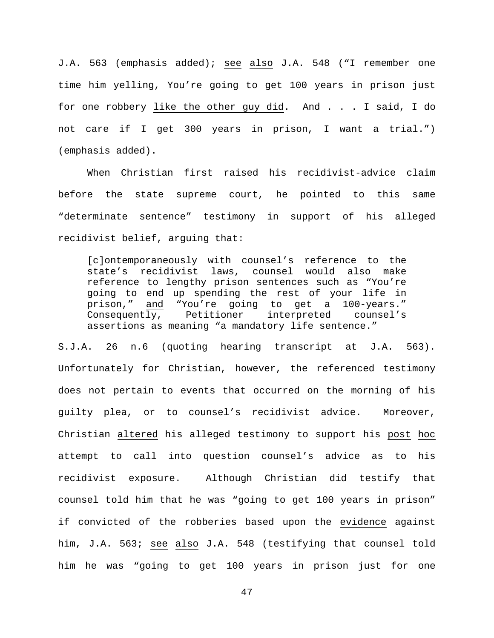J.A. 563 (emphasis added); see also J.A. 548 ("I remember one time him yelling, You're going to get 100 years in prison just for one robbery like the other guy did. And . . . I said, I do not care if I get 300 years in prison, I want a trial.") (emphasis added).

When Christian first raised his recidivist-advice claim before the state supreme court, he pointed to this same "determinate sentence" testimony in support of his alleged recidivist belief, arguing that:

[c]ontemporaneously with counsel's reference to the state's recidivist laws, counsel would also make reference to lengthy prison sentences such as "You're going to end up spending the rest of your life in prison," and "You're going to get a 100-years."<br>Consequently, Petitioner interpreted counsel's Consequently, Petitioner interpreted counsel's assertions as meaning "a mandatory life sentence."

S.J.A. 26 n.6 (quoting hearing transcript at J.A. 563). Unfortunately for Christian, however, the referenced testimony does not pertain to events that occurred on the morning of his guilty plea, or to counsel's recidivist advice. Moreover, Christian altered his alleged testimony to support his post hoc attempt to call into question counsel's advice as to his recidivist exposure. Although Christian did testify that counsel told him that he was "going to get 100 years in prison" if convicted of the robberies based upon the evidence against him, J.A. 563; see also J.A. 548 (testifying that counsel told him he was "going to get 100 years in prison just for one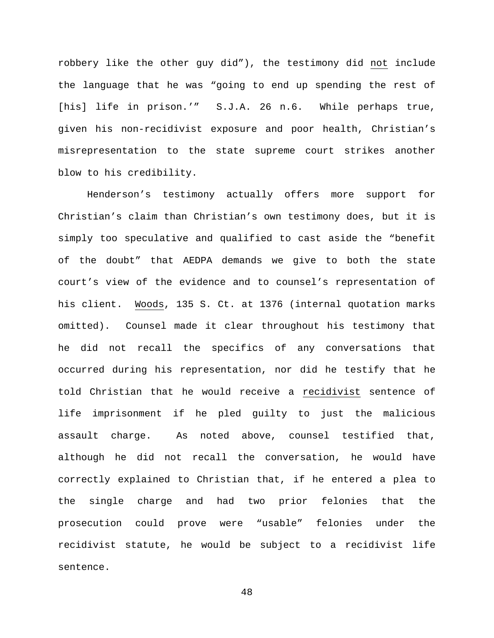robbery like the other guy did"), the testimony did not include the language that he was "going to end up spending the rest of [his] life in prison.'" S.J.A. 26 n.6. While perhaps true, given his non-recidivist exposure and poor health, Christian's misrepresentation to the state supreme court strikes another blow to his credibility.

Henderson's testimony actually offers more support for Christian's claim than Christian's own testimony does, but it is simply too speculative and qualified to cast aside the "benefit of the doubt" that AEDPA demands we give to both the state court's view of the evidence and to counsel's representation of his client. Woods, 135 S. Ct. at 1376 (internal quotation marks omitted). Counsel made it clear throughout his testimony that he did not recall the specifics of any conversations that occurred during his representation, nor did he testify that he told Christian that he would receive a recidivist sentence of life imprisonment if he pled guilty to just the malicious assault charge. As noted above, counsel testified that, although he did not recall the conversation, he would have correctly explained to Christian that, if he entered a plea to the single charge and had two prior felonies that the prosecution could prove were "usable" felonies under the recidivist statute, he would be subject to a recidivist life sentence.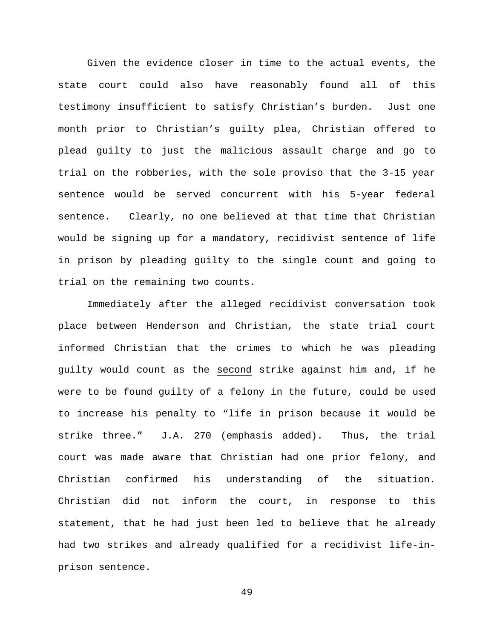Given the evidence closer in time to the actual events, the state court could also have reasonably found all of this testimony insufficient to satisfy Christian's burden. Just one month prior to Christian's guilty plea, Christian offered to plead guilty to just the malicious assault charge and go to trial on the robberies, with the sole proviso that the 3-15 year sentence would be served concurrent with his 5-year federal sentence. Clearly, no one believed at that time that Christian would be signing up for a mandatory, recidivist sentence of life in prison by pleading guilty to the single count and going to trial on the remaining two counts.

Immediately after the alleged recidivist conversation took place between Henderson and Christian, the state trial court informed Christian that the crimes to which he was pleading guilty would count as the second strike against him and, if he were to be found guilty of a felony in the future, could be used to increase his penalty to "life in prison because it would be strike three." J.A. 270 (emphasis added). Thus, the trial court was made aware that Christian had one prior felony, and Christian confirmed his understanding of the situation. Christian did not inform the court, in response to this statement, that he had just been led to believe that he already had two strikes and already qualified for a recidivist life-inprison sentence.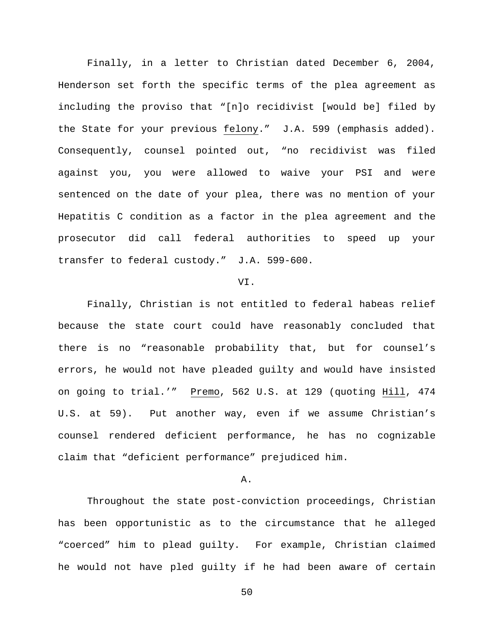Finally, in a letter to Christian dated December 6, 2004, Henderson set forth the specific terms of the plea agreement as including the proviso that "[n]o recidivist [would be] filed by the State for your previous felony." J.A. 599 (emphasis added). Consequently, counsel pointed out, "no recidivist was filed against you, you were allowed to waive your PSI and were sentenced on the date of your plea, there was no mention of your Hepatitis C condition as a factor in the plea agreement and the prosecutor did call federal authorities to speed up your transfer to federal custody." J.A. 599-600.

#### VI.

Finally, Christian is not entitled to federal habeas relief because the state court could have reasonably concluded that there is no "reasonable probability that, but for counsel's errors, he would not have pleaded guilty and would have insisted on going to trial.'" Premo, 562 U.S. at 129 (quoting Hill, 474 U.S. at 59). Put another way, even if we assume Christian's counsel rendered deficient performance, he has no cognizable claim that "deficient performance" prejudiced him.

## A.

Throughout the state post-conviction proceedings, Christian has been opportunistic as to the circumstance that he alleged "coerced" him to plead guilty. For example, Christian claimed he would not have pled guilty if he had been aware of certain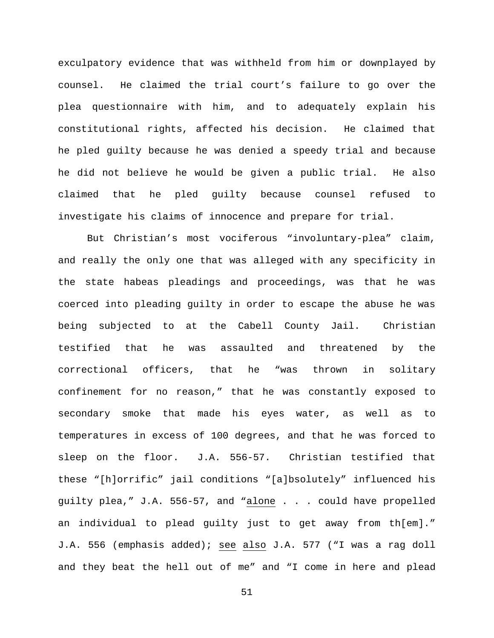exculpatory evidence that was withheld from him or downplayed by counsel. He claimed the trial court's failure to go over the plea questionnaire with him, and to adequately explain his constitutional rights, affected his decision. He claimed that he pled guilty because he was denied a speedy trial and because he did not believe he would be given a public trial. He also claimed that he pled guilty because counsel refused to investigate his claims of innocence and prepare for trial.

But Christian's most vociferous "involuntary-plea" claim, and really the only one that was alleged with any specificity in the state habeas pleadings and proceedings, was that he was coerced into pleading guilty in order to escape the abuse he was being subjected to at the Cabell County Jail. Christian testified that he was assaulted and threatened by the correctional officers, that he "was thrown in solitary confinement for no reason," that he was constantly exposed to secondary smoke that made his eyes water, as well as to temperatures in excess of 100 degrees, and that he was forced to sleep on the floor. J.A. 556-57. Christian testified that these "[h]orrific" jail conditions "[a]bsolutely" influenced his guilty plea," J.A. 556-57, and "alone . . . could have propelled an individual to plead guilty just to get away from th[em]." J.A. 556 (emphasis added); see also J.A. 577 ("I was a rag doll and they beat the hell out of me" and "I come in here and plead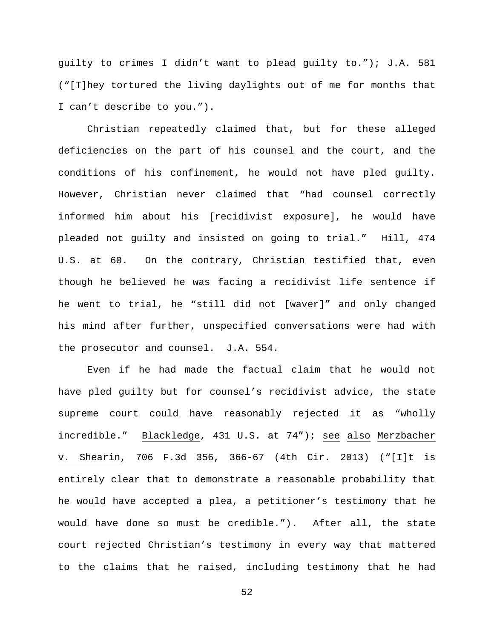guilty to crimes I didn't want to plead guilty to."); J.A. 581 ("[T]hey tortured the living daylights out of me for months that I can't describe to you.").

Christian repeatedly claimed that, but for these alleged deficiencies on the part of his counsel and the court, and the conditions of his confinement, he would not have pled guilty. However, Christian never claimed that "had counsel correctly informed him about his [recidivist exposure], he would have pleaded not guilty and insisted on going to trial." Hill, 474 U.S. at 60. On the contrary, Christian testified that, even though he believed he was facing a recidivist life sentence if he went to trial, he "still did not [waver]" and only changed his mind after further, unspecified conversations were had with the prosecutor and counsel. J.A. 554.

Even if he had made the factual claim that he would not have pled guilty but for counsel's recidivist advice, the state supreme court could have reasonably rejected it as "wholly incredible." Blackledge, 431 U.S. at 74"); see also Merzbacher v. Shearin, 706 F.3d 356, 366-67 (4th Cir. 2013) ("[I]t is entirely clear that to demonstrate a reasonable probability that he would have accepted a plea, a petitioner's testimony that he would have done so must be credible."). After all, the state court rejected Christian's testimony in every way that mattered to the claims that he raised, including testimony that he had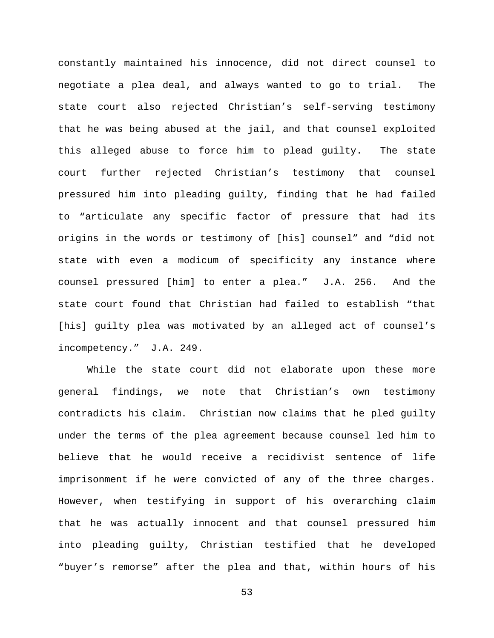constantly maintained his innocence, did not direct counsel to negotiate a plea deal, and always wanted to go to trial. The state court also rejected Christian's self-serving testimony that he was being abused at the jail, and that counsel exploited this alleged abuse to force him to plead guilty. The state court further rejected Christian's testimony that counsel pressured him into pleading guilty, finding that he had failed to "articulate any specific factor of pressure that had its origins in the words or testimony of [his] counsel" and "did not state with even a modicum of specificity any instance where counsel pressured [him] to enter a plea." J.A. 256. And the state court found that Christian had failed to establish "that [his] guilty plea was motivated by an alleged act of counsel's incompetency." J.A. 249.

While the state court did not elaborate upon these more general findings, we note that Christian's own testimony contradicts his claim. Christian now claims that he pled guilty under the terms of the plea agreement because counsel led him to believe that he would receive a recidivist sentence of life imprisonment if he were convicted of any of the three charges. However, when testifying in support of his overarching claim that he was actually innocent and that counsel pressured him into pleading guilty, Christian testified that he developed "buyer's remorse" after the plea and that, within hours of his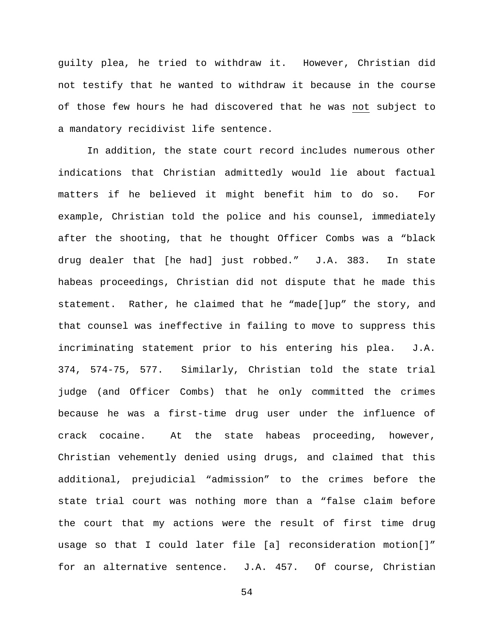guilty plea, he tried to withdraw it. However, Christian did not testify that he wanted to withdraw it because in the course of those few hours he had discovered that he was not subject to a mandatory recidivist life sentence.

In addition, the state court record includes numerous other indications that Christian admittedly would lie about factual matters if he believed it might benefit him to do so. For example, Christian told the police and his counsel, immediately after the shooting, that he thought Officer Combs was a "black drug dealer that [he had] just robbed." J.A. 383. In state habeas proceedings, Christian did not dispute that he made this statement. Rather, he claimed that he "made[]up" the story, and that counsel was ineffective in failing to move to suppress this incriminating statement prior to his entering his plea. J.A. 374, 574-75, 577. Similarly, Christian told the state trial judge (and Officer Combs) that he only committed the crimes because he was a first-time drug user under the influence of crack cocaine. At the state habeas proceeding, however, Christian vehemently denied using drugs, and claimed that this additional, prejudicial "admission" to the crimes before the state trial court was nothing more than a "false claim before the court that my actions were the result of first time drug usage so that I could later file [a] reconsideration motion[]" for an alternative sentence. J.A. 457. Of course, Christian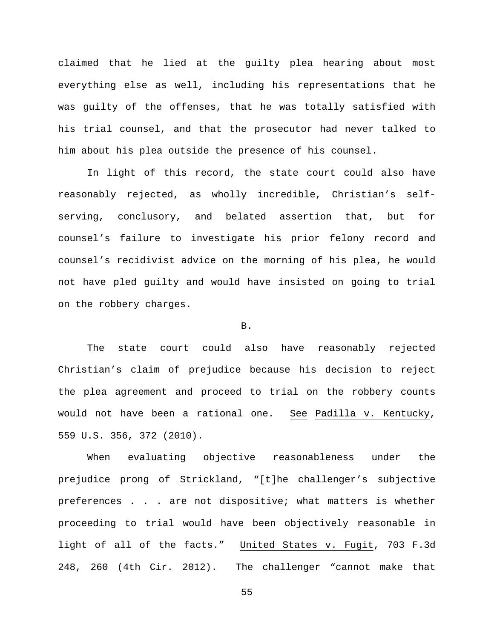claimed that he lied at the guilty plea hearing about most everything else as well, including his representations that he was guilty of the offenses, that he was totally satisfied with his trial counsel, and that the prosecutor had never talked to him about his plea outside the presence of his counsel.

In light of this record, the state court could also have reasonably rejected, as wholly incredible, Christian's selfserving, conclusory, and belated assertion that, but for counsel's failure to investigate his prior felony record and counsel's recidivist advice on the morning of his plea, he would not have pled guilty and would have insisted on going to trial on the robbery charges.

### B.

The state court could also have reasonably rejected Christian's claim of prejudice because his decision to reject the plea agreement and proceed to trial on the robbery counts would not have been a rational one. See Padilla v. Kentucky, 559 U.S. 356, 372 (2010).

When evaluating objective reasonableness under the prejudice prong of Strickland, "[t]he challenger's subjective preferences . . . are not dispositive; what matters is whether proceeding to trial would have been objectively reasonable in light of all of the facts." United States v. Fugit, 703 F.3d 248, 260 (4th Cir. 2012). The challenger "cannot make that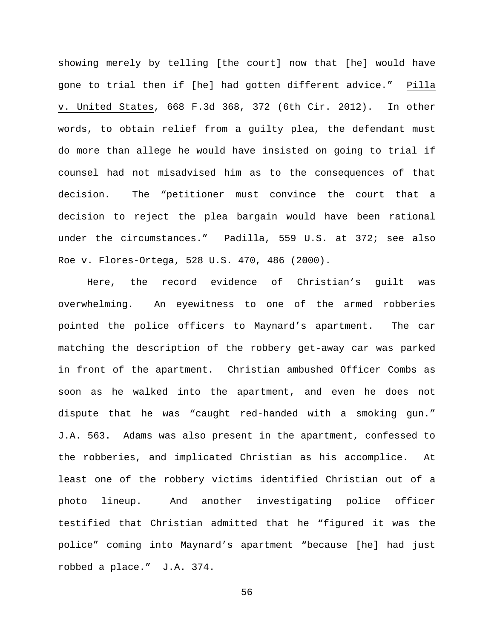showing merely by telling [the court] now that [he] would have gone to trial then if [he] had gotten different advice." Pilla v. United States, 668 F.3d 368, 372 (6th Cir. 2012). In other words, to obtain relief from a guilty plea, the defendant must do more than allege he would have insisted on going to trial if counsel had not misadvised him as to the consequences of that decision. The "petitioner must convince the court that a decision to reject the plea bargain would have been rational under the circumstances." Padilla, 559 U.S. at 372; see also Roe v. Flores-Ortega, 528 U.S. 470, 486 (2000).

Here, the record evidence of Christian's guilt was overwhelming. An eyewitness to one of the armed robberies pointed the police officers to Maynard's apartment. The car matching the description of the robbery get-away car was parked in front of the apartment. Christian ambushed Officer Combs as soon as he walked into the apartment, and even he does not dispute that he was "caught red-handed with a smoking gun." J.A. 563. Adams was also present in the apartment, confessed to the robberies, and implicated Christian as his accomplice. At least one of the robbery victims identified Christian out of a photo lineup. And another investigating police officer testified that Christian admitted that he "figured it was the police" coming into Maynard's apartment "because [he] had just robbed a place." J.A. 374.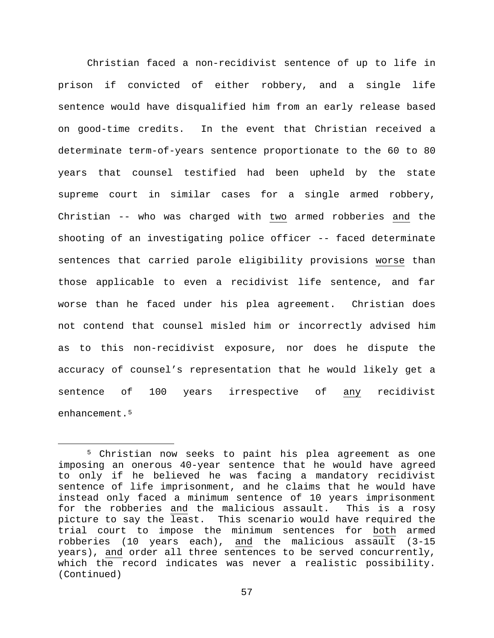Christian faced a non-recidivist sentence of up to life in prison if convicted of either robbery, and a single life sentence would have disqualified him from an early release based on good-time credits. In the event that Christian received a determinate term-of-years sentence proportionate to the 60 to 80 years that counsel testified had been upheld by the state supreme court in similar cases for a single armed robbery, Christian -- who was charged with two armed robberies and the shooting of an investigating police officer -- faced determinate sentences that carried parole eligibility provisions worse than those applicable to even a recidivist life sentence, and far worse than he faced under his plea agreement. Christian does not contend that counsel misled him or incorrectly advised him as to this non-recidivist exposure, nor does he dispute the accuracy of counsel's representation that he would likely get a sentence of 100 years irrespective of any recidivist enhancement.<sup>[5](#page-56-0)</sup>

<span id="page-56-0"></span> <sup>5</sup> Christian now seeks to paint his plea agreement as one imposing an onerous 40-year sentence that he would have agreed to only if he believed he was facing a mandatory recidivist sentence of life imprisonment, and he claims that he would have instead only faced a minimum sentence of 10 years imprisonment for the robberies and the malicious assault. This is a rosy picture to say the least. This scenario would have required the trial court to impose the minimum sentences for both armed robberies (10 years each), and the malicious assault (3-15 years), and order all three sentences to be served concurrently, which the record indicates was never a realistic possibility. (Continued)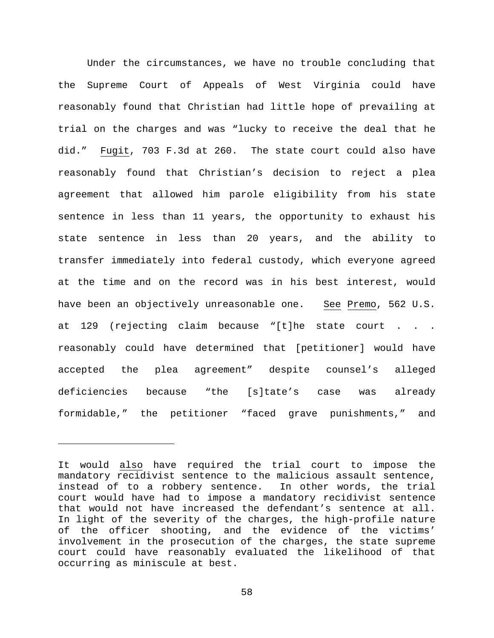Under the circumstances, we have no trouble concluding that the Supreme Court of Appeals of West Virginia could have reasonably found that Christian had little hope of prevailing at trial on the charges and was "lucky to receive the deal that he did." Fugit, 703 F.3d at 260. The state court could also have reasonably found that Christian's decision to reject a plea agreement that allowed him parole eligibility from his state sentence in less than 11 years, the opportunity to exhaust his state sentence in less than 20 years, and the ability to transfer immediately into federal custody, which everyone agreed at the time and on the record was in his best interest, would have been an objectively unreasonable one. See Premo, 562 U.S. at 129 (rejecting claim because "[t]he state court . . . reasonably could have determined that [petitioner] would have accepted the plea agreement" despite counsel's alleged deficiencies because "the [s]tate's case was already formidable," the petitioner "faced grave punishments," and

ī

It would also have required the trial court to impose the mandatory recidivist sentence to the malicious assault sentence, instead of to a robbery sentence. In other words, the trial court would have had to impose a mandatory recidivist sentence that would not have increased the defendant's sentence at all. In light of the severity of the charges, the high-profile nature of the officer shooting, and the evidence of the victims' involvement in the prosecution of the charges, the state supreme court could have reasonably evaluated the likelihood of that occurring as miniscule at best.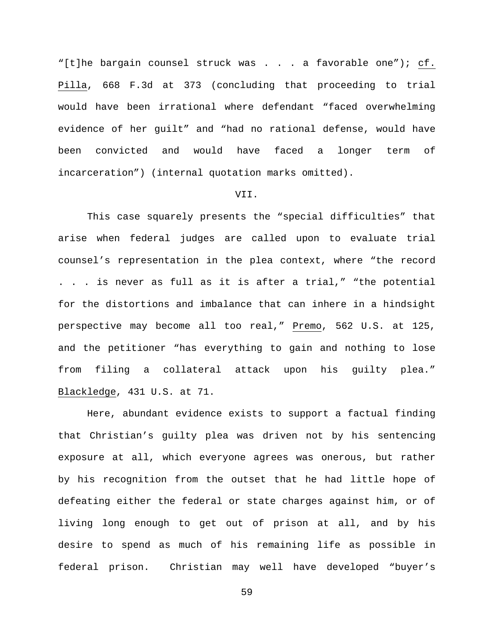"[t]he bargain counsel struck was . . . a favorable one"); cf. Pilla, 668 F.3d at 373 (concluding that proceeding to trial would have been irrational where defendant "faced overwhelming evidence of her guilt" and "had no rational defense, would have been convicted and would have faced a longer term of incarceration") (internal quotation marks omitted).

# VII.

This case squarely presents the "special difficulties" that arise when federal judges are called upon to evaluate trial counsel's representation in the plea context, where "the record . . . is never as full as it is after a trial," "the potential for the distortions and imbalance that can inhere in a hindsight perspective may become all too real," Premo, 562 U.S. at 125, and the petitioner "has everything to gain and nothing to lose from filing a collateral attack upon his guilty plea." Blackledge, 431 U.S. at 71.

Here, abundant evidence exists to support a factual finding that Christian's guilty plea was driven not by his sentencing exposure at all, which everyone agrees was onerous, but rather by his recognition from the outset that he had little hope of defeating either the federal or state charges against him, or of living long enough to get out of prison at all, and by his desire to spend as much of his remaining life as possible in federal prison. Christian may well have developed "buyer's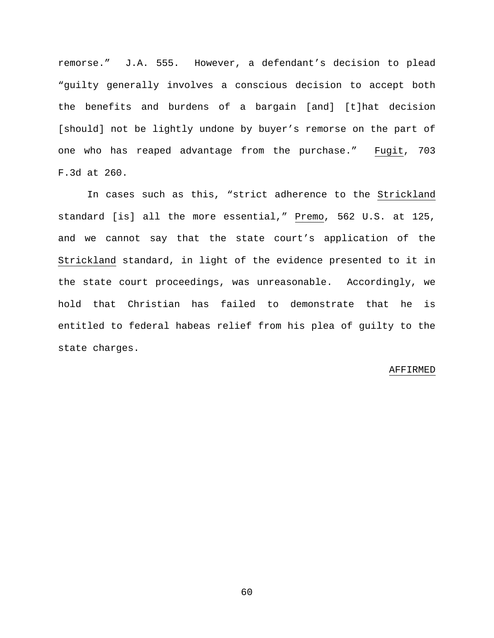remorse." J.A. 555. However, a defendant's decision to plead "guilty generally involves a conscious decision to accept both the benefits and burdens of a bargain [and] [t]hat decision [should] not be lightly undone by buyer's remorse on the part of one who has reaped advantage from the purchase." Fugit, 703 F.3d at 260.

In cases such as this, "strict adherence to the Strickland standard [is] all the more essential," Premo, 562 U.S. at 125, and we cannot say that the state court's application of the Strickland standard, in light of the evidence presented to it in the state court proceedings, was unreasonable. Accordingly, we hold that Christian has failed to demonstrate that he is entitled to federal habeas relief from his plea of guilty to the state charges.

#### AFFIRMED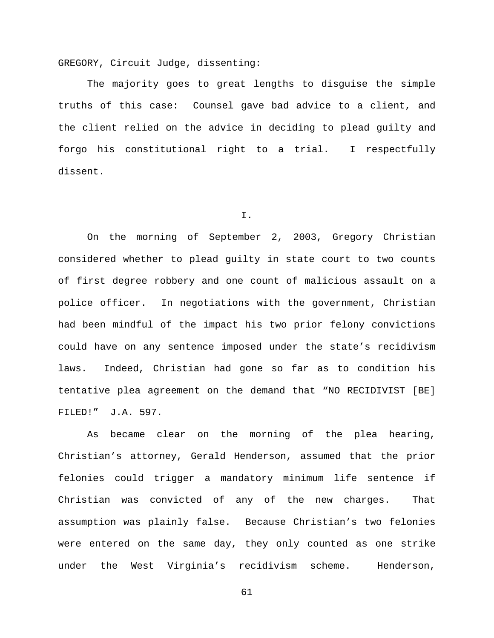GREGORY, Circuit Judge, dissenting:

The majority goes to great lengths to disguise the simple truths of this case: Counsel gave bad advice to a client, and the client relied on the advice in deciding to plead guilty and forgo his constitutional right to a trial. I respectfully dissent.

### I.

On the morning of September 2, 2003, Gregory Christian considered whether to plead guilty in state court to two counts of first degree robbery and one count of malicious assault on a police officer. In negotiations with the government, Christian had been mindful of the impact his two prior felony convictions could have on any sentence imposed under the state's recidivism laws. Indeed, Christian had gone so far as to condition his tentative plea agreement on the demand that "NO RECIDIVIST [BE] FILED!" J.A. 597.

As became clear on the morning of the plea hearing, Christian's attorney, Gerald Henderson, assumed that the prior felonies could trigger a mandatory minimum life sentence if Christian was convicted of any of the new charges. That assumption was plainly false. Because Christian's two felonies were entered on the same day, they only counted as one strike under the West Virginia's recidivism scheme. Henderson,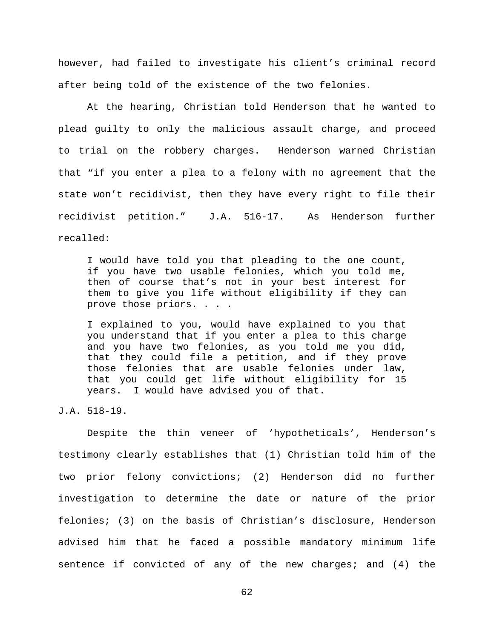however, had failed to investigate his client's criminal record after being told of the existence of the two felonies.

At the hearing, Christian told Henderson that he wanted to plead guilty to only the malicious assault charge, and proceed to trial on the robbery charges. Henderson warned Christian that "if you enter a plea to a felony with no agreement that the state won't recidivist, then they have every right to file their recidivist petition." J.A. 516-17. As Henderson further recalled:

I would have told you that pleading to the one count, if you have two usable felonies, which you told me, then of course that's not in your best interest for them to give you life without eligibility if they can prove those priors. . . .

I explained to you, would have explained to you that you understand that if you enter a plea to this charge and you have two felonies, as you told me you did, that they could file a petition, and if they prove those felonies that are usable felonies under law, that you could get life without eligibility for 15 years. I would have advised you of that.

J.A. 518-19.

Despite the thin veneer of 'hypotheticals', Henderson's testimony clearly establishes that (1) Christian told him of the two prior felony convictions; (2) Henderson did no further investigation to determine the date or nature of the prior felonies; (3) on the basis of Christian's disclosure, Henderson advised him that he faced a possible mandatory minimum life sentence if convicted of any of the new charges; and (4) the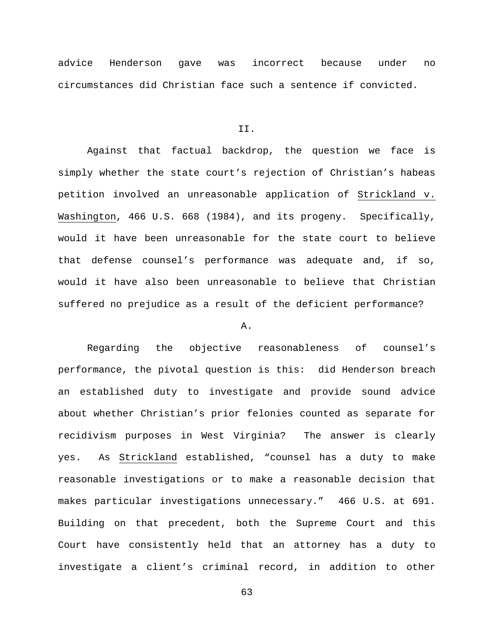advice Henderson gave was incorrect because under no circumstances did Christian face such a sentence if convicted.

#### II.

Against that factual backdrop, the question we face is simply whether the state court's rejection of Christian's habeas petition involved an unreasonable application of Strickland v. Washington, 466 U.S. 668 (1984), and its progeny. Specifically, would it have been unreasonable for the state court to believe that defense counsel's performance was adequate and, if so, would it have also been unreasonable to believe that Christian suffered no prejudice as a result of the deficient performance?

### A.

Regarding the objective reasonableness of counsel's performance, the pivotal question is this: did Henderson breach an established duty to investigate and provide sound advice about whether Christian's prior felonies counted as separate for recidivism purposes in West Virginia? The answer is clearly yes. As Strickland established, "counsel has a duty to make reasonable investigations or to make a reasonable decision that makes particular investigations unnecessary." 466 U.S. at 691. Building on that precedent, both the Supreme Court and this Court have consistently held that an attorney has a duty to investigate a client's criminal record, in addition to other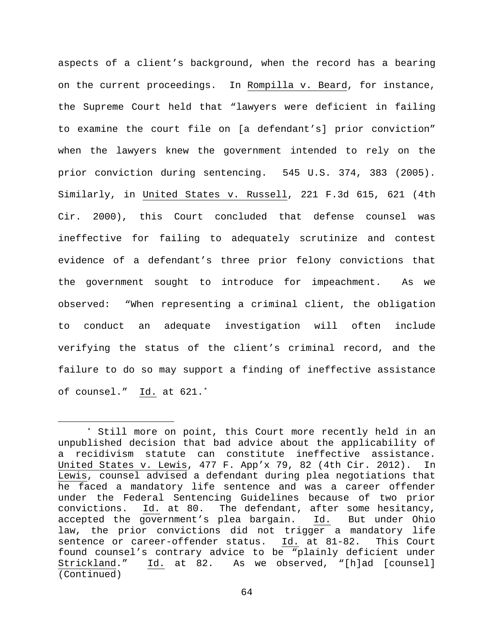aspects of a client's background, when the record has a bearing on the current proceedings. In Rompilla v. Beard, for instance, the Supreme Court held that "lawyers were deficient in failing to examine the court file on [a defendant's] prior conviction" when the lawyers knew the government intended to rely on the prior conviction during sentencing. 545 U.S. 374, 383 (2005). Similarly, in United States v. Russell, 221 F.3d 615, 621 (4th Cir. 2000), this Court concluded that defense counsel was ineffective for failing to adequately scrutinize and contest evidence of a defendant's three prior felony convictions that the government sought to introduce for impeachment. As we observed: "When representing a criminal client, the obligation to conduct an adequate investigation will often include verifying the status of the client's criminal record, and the failure to do so may support a finding of ineffective assistance of counsel." Id. at 621.[\\*](#page-63-0)

<span id="page-63-0"></span> <sup>\*</sup> Still more on point, this Court more recently held in an unpublished decision that bad advice about the applicability of a recidivism statute can constitute ineffective assistance. United States v. Lewis, 477 F. App'x 79, 82 (4th Cir. 2012). In Lewis, counsel advised a defendant during plea negotiations that he faced a mandatory life sentence and was a career offender under the Federal Sentencing Guidelines because of two prior convictions.  $\underline{Id.}$  at 80. The defendant, after some hesitancy,<br>accepted the government's plea bargain. Id. But under Ohio accepted the government's plea bargain. Id. law, the prior convictions did not trigger a mandatory life sentence or career-offender status. Id. at 81-82. This Court found counsel's contrary advice to be "plainly deficient under<br>Strickland." Id. at 82. As we observed, "[h]ad [counsel] Id. at 82. As we observed, "[h]ad [counsel] (Continued)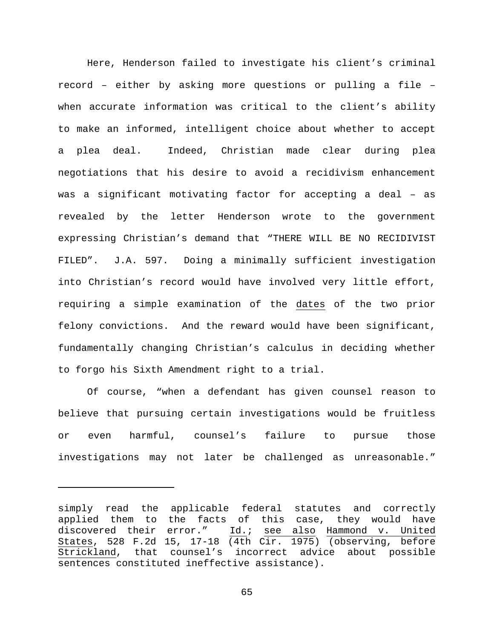Here, Henderson failed to investigate his client's criminal record – either by asking more questions or pulling a file – when accurate information was critical to the client's ability to make an informed, intelligent choice about whether to accept a plea deal. Indeed, Christian made clear during plea negotiations that his desire to avoid a recidivism enhancement was a significant motivating factor for accepting a deal – as revealed by the letter Henderson wrote to the government expressing Christian's demand that "THERE WILL BE NO RECIDIVIST FILED". J.A. 597. Doing a minimally sufficient investigation into Christian's record would have involved very little effort, requiring a simple examination of the dates of the two prior felony convictions. And the reward would have been significant, fundamentally changing Christian's calculus in deciding whether to forgo his Sixth Amendment right to a trial.

Of course, "when a defendant has given counsel reason to believe that pursuing certain investigations would be fruitless or even harmful, counsel's failure to pursue those investigations may not later be challenged as unreasonable."

ī

simply read the applicable federal statutes and correctly applied them to the facts of this case, they would have discovered their error." Id.; see also Hammond v. United States, 528 F.2d 15, 17-18 (4th Cir. 1975) (observing, before Strickland, that counsel's incorrect advice about possible sentences constituted ineffective assistance).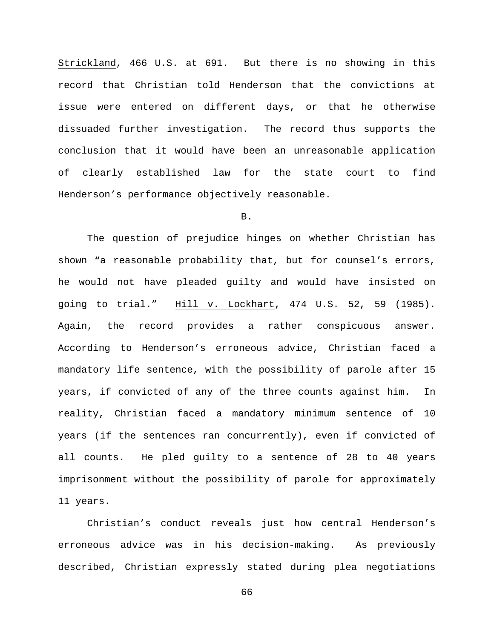Strickland, 466 U.S. at 691. But there is no showing in this record that Christian told Henderson that the convictions at issue were entered on different days, or that he otherwise dissuaded further investigation. The record thus supports the conclusion that it would have been an unreasonable application of clearly established law for the state court to find Henderson's performance objectively reasonable.

B.

The question of prejudice hinges on whether Christian has shown "a reasonable probability that, but for counsel's errors, he would not have pleaded guilty and would have insisted on going to trial." Hill v. Lockhart, 474 U.S. 52, 59 (1985). Again, the record provides a rather conspicuous answer. According to Henderson's erroneous advice, Christian faced a mandatory life sentence, with the possibility of parole after 15 years, if convicted of any of the three counts against him. In reality, Christian faced a mandatory minimum sentence of 10 years (if the sentences ran concurrently), even if convicted of all counts. He pled guilty to a sentence of 28 to 40 years imprisonment without the possibility of parole for approximately 11 years.

Christian's conduct reveals just how central Henderson's erroneous advice was in his decision-making. As previously described, Christian expressly stated during plea negotiations